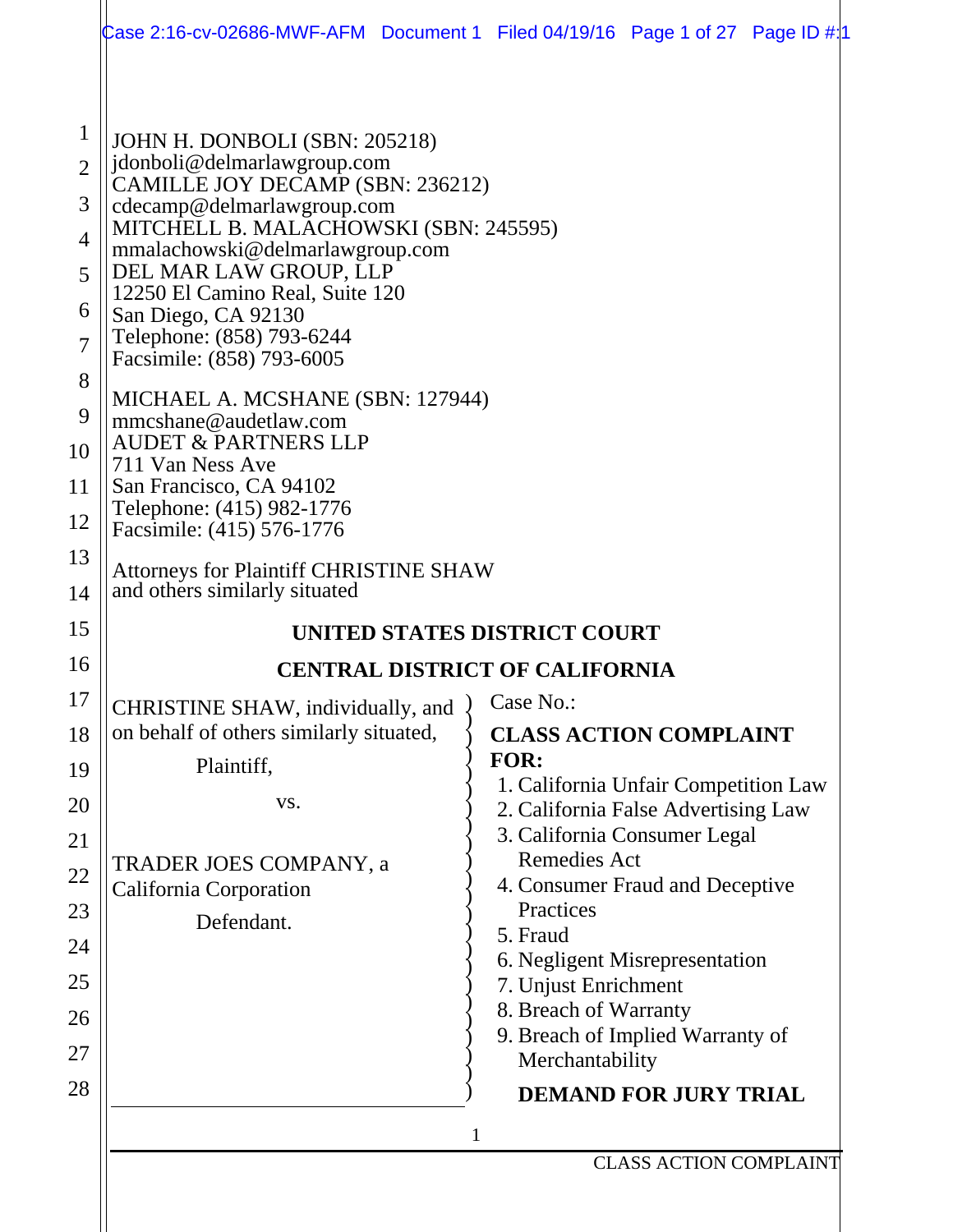| JOHN H. DONBOLI (SBN: 205218)<br>jdonboli@delmarlawgroup.com<br>CAMILLE JOY DECAMP (SBN: 236212)<br>cdecamp@delmarlawgroup.com<br>MITCHELL B. MALACHOWSKI (SBN: 245595)<br>mmalachowski@delmarlawgroup.com<br>DEL MAR LAW GROUP, LLP<br>12250 El Camino Real, Suite 120<br>San Diego, CA 92130<br>Telephone: (858) 793-6244<br>Facsimile: (858) 793-6005<br>MICHAEL A. MCSHANE (SBN: 127944)<br>mmcshane@audetlaw.com<br><b>AUDET &amp; PARTNERS LLP</b><br>711 Van Ness Ave<br>San Francisco, CA 94102<br>Telephone: (415) 982-1776<br>Facsimile: (415) 576-1776<br><b>Attorneys for Plaintiff CHRISTINE SHAW</b><br>and others similarly situated<br>UNITED STATES DISTRICT COURT<br><b>CENTRAL DISTRICT OF CALIFORNIA</b><br>$\big)$ Case No.:<br>CHRISTINE SHAW, individually, and<br>on behalf of others similarly situated,<br><b>CLASS ACTION COMPLAINT</b><br><b>FOR:</b><br>Plaintiff,<br>1. California Unfair Competition Law<br>VS.<br>2. California False Advertising Law<br>3. California Consumer Legal<br><b>Remedies Act</b><br>TRADER JOES COMPANY, a<br>4. Consumer Fraud and Deceptive<br>California Corporation<br>Practices<br>Defendant.<br>5. Fraud<br>6. Negligent Misrepresentation<br>7. Unjust Enrichment<br>8. Breach of Warranty<br>9. Breach of Implied Warranty of<br>Merchantability<br><b>DEMAND FOR JURY TRIAL</b><br>1<br><b>CLASS ACTION COMPLAINT</b> |                                                                                                                    | Case 2:16-cv-02686-MWF-AFM Document 1 Filed 04/19/16 Page 1 of 27 Page ID $\#11$ |
|--------------------------------------------------------------------------------------------------------------------------------------------------------------------------------------------------------------------------------------------------------------------------------------------------------------------------------------------------------------------------------------------------------------------------------------------------------------------------------------------------------------------------------------------------------------------------------------------------------------------------------------------------------------------------------------------------------------------------------------------------------------------------------------------------------------------------------------------------------------------------------------------------------------------------------------------------------------------------------------------------------------------------------------------------------------------------------------------------------------------------------------------------------------------------------------------------------------------------------------------------------------------------------------------------------------------------------------------------------------------------------------------|--------------------------------------------------------------------------------------------------------------------|----------------------------------------------------------------------------------|
|                                                                                                                                                                                                                                                                                                                                                                                                                                                                                                                                                                                                                                                                                                                                                                                                                                                                                                                                                                                                                                                                                                                                                                                                                                                                                                                                                                                            | $\mathbf 1$<br>$\overline{2}$<br>3<br>$\overline{4}$<br>5<br>6<br>$\overline{7}$<br>8<br>9<br>10<br>11<br>12<br>13 |                                                                                  |
|                                                                                                                                                                                                                                                                                                                                                                                                                                                                                                                                                                                                                                                                                                                                                                                                                                                                                                                                                                                                                                                                                                                                                                                                                                                                                                                                                                                            | 14<br>15                                                                                                           |                                                                                  |
|                                                                                                                                                                                                                                                                                                                                                                                                                                                                                                                                                                                                                                                                                                                                                                                                                                                                                                                                                                                                                                                                                                                                                                                                                                                                                                                                                                                            | 16                                                                                                                 |                                                                                  |
|                                                                                                                                                                                                                                                                                                                                                                                                                                                                                                                                                                                                                                                                                                                                                                                                                                                                                                                                                                                                                                                                                                                                                                                                                                                                                                                                                                                            | 17<br>18<br>19<br>20<br>21<br>22<br>23<br>24<br>25<br>26<br>27                                                     |                                                                                  |
|                                                                                                                                                                                                                                                                                                                                                                                                                                                                                                                                                                                                                                                                                                                                                                                                                                                                                                                                                                                                                                                                                                                                                                                                                                                                                                                                                                                            | 28                                                                                                                 |                                                                                  |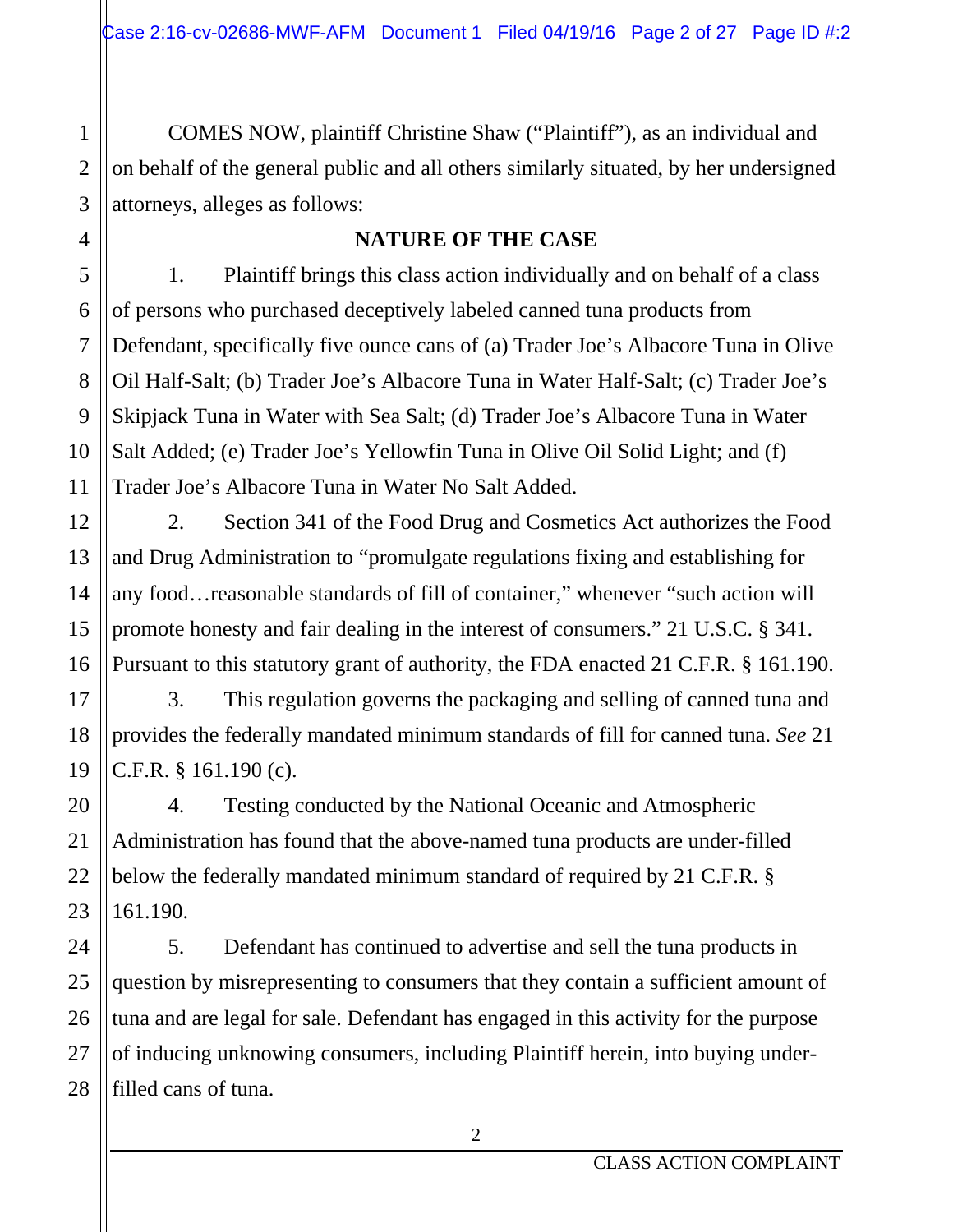COMES NOW, plaintiff Christine Shaw ("Plaintiff"), as an individual and on behalf of the general public and all others similarly situated, by her undersigned attorneys, alleges as follows:

#### **NATURE OF THE CASE**

1. Plaintiff brings this class action individually and on behalf of a class of persons who purchased deceptively labeled canned tuna products from Defendant, specifically five ounce cans of (a) Trader Joe's Albacore Tuna in Olive Oil Half-Salt; (b) Trader Joe's Albacore Tuna in Water Half-Salt; (c) Trader Joe's Skipjack Tuna in Water with Sea Salt; (d) Trader Joe's Albacore Tuna in Water Salt Added; (e) Trader Joe's Yellowfin Tuna in Olive Oil Solid Light; and (f) Trader Joe's Albacore Tuna in Water No Salt Added.

2. Section 341 of the Food Drug and Cosmetics Act authorizes the Food and Drug Administration to "promulgate regulations fixing and establishing for any food…reasonable standards of fill of container," whenever "such action will promote honesty and fair dealing in the interest of consumers." 21 U.S.C. § 341. Pursuant to this statutory grant of authority, the FDA enacted 21 C.F.R. § 161.190.

3. This regulation governs the packaging and selling of canned tuna and provides the federally mandated minimum standards of fill for canned tuna. *See* 21 C.F.R. § 161.190 (c).

4. Testing conducted by the National Oceanic and Atmospheric Administration has found that the above-named tuna products are under-filled below the federally mandated minimum standard of required by 21 C.F.R. § 161.190.

5. Defendant has continued to advertise and sell the tuna products in question by misrepresenting to consumers that they contain a sufficient amount of tuna and are legal for sale. Defendant has engaged in this activity for the purpose of inducing unknowing consumers, including Plaintiff herein, into buying underfilled cans of tuna.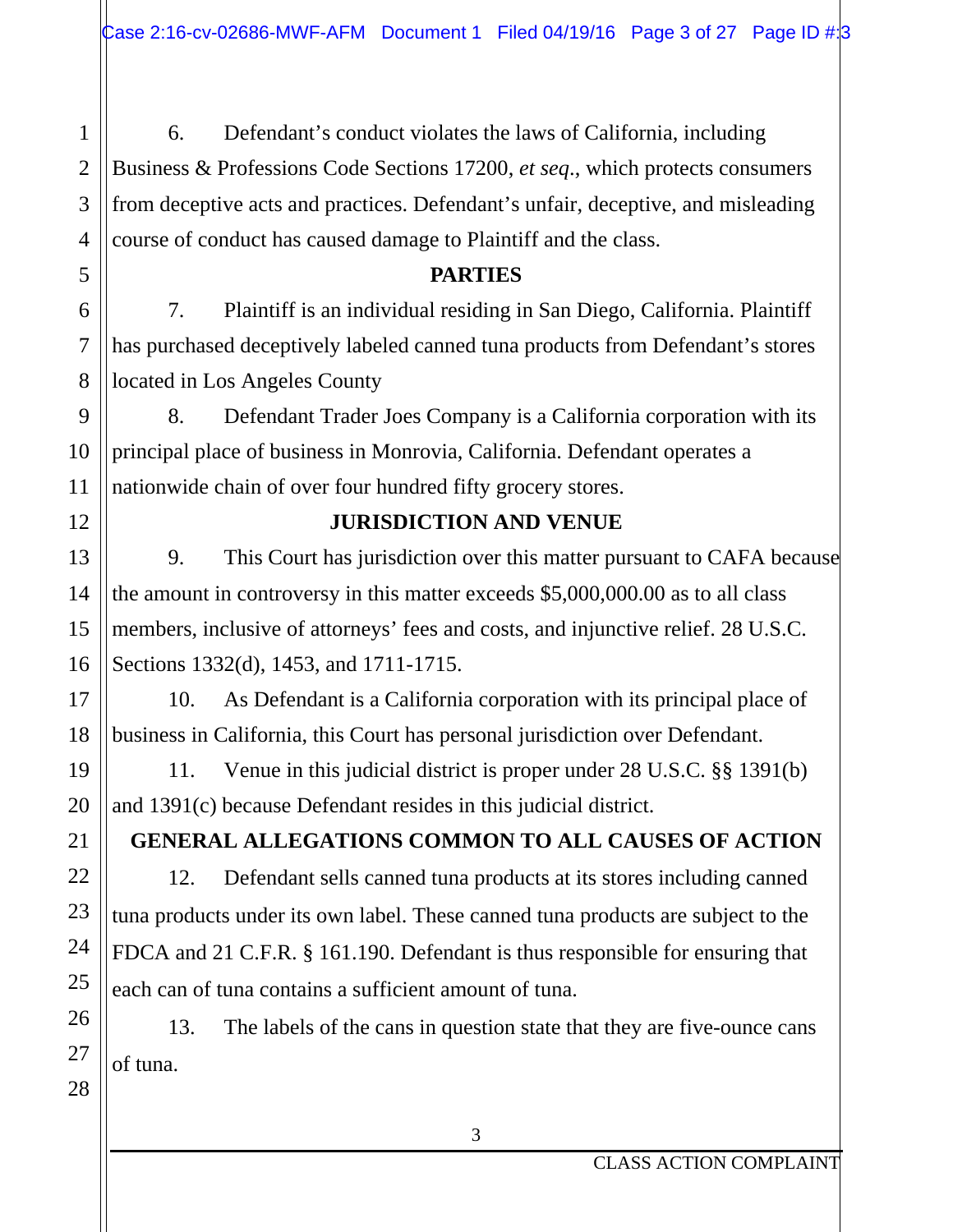6. Defendant's conduct violates the laws of California, including Business & Professions Code Sections 17200, *et seq*., which protects consumers from deceptive acts and practices. Defendant's unfair, deceptive, and misleading course of conduct has caused damage to Plaintiff and the class.

#### **PARTIES**

7. Plaintiff is an individual residing in San Diego, California. Plaintiff has purchased deceptively labeled canned tuna products from Defendant's stores located in Los Angeles County

8. Defendant Trader Joes Company is a California corporation with its principal place of business in Monrovia, California. Defendant operates a nationwide chain of over four hundred fifty grocery stores.

## **JURISDICTION AND VENUE**

9. This Court has jurisdiction over this matter pursuant to CAFA because the amount in controversy in this matter exceeds \$5,000,000.00 as to all class members, inclusive of attorneys' fees and costs, and injunctive relief. 28 U.S.C. Sections 1332(d), 1453, and 1711-1715.

10. As Defendant is a California corporation with its principal place of business in California, this Court has personal jurisdiction over Defendant.

11. Venue in this judicial district is proper under 28 U.S.C. §§ 1391(b) and 1391(c) because Defendant resides in this judicial district.

## **GENERAL ALLEGATIONS COMMON TO ALL CAUSES OF ACTION**

12. Defendant sells canned tuna products at its stores including canned tuna products under its own label. These canned tuna products are subject to the FDCA and 21 C.F.R. § 161.190. Defendant is thus responsible for ensuring that each can of tuna contains a sufficient amount of tuna.

13. The labels of the cans in question state that they are five-ounce cans of tuna.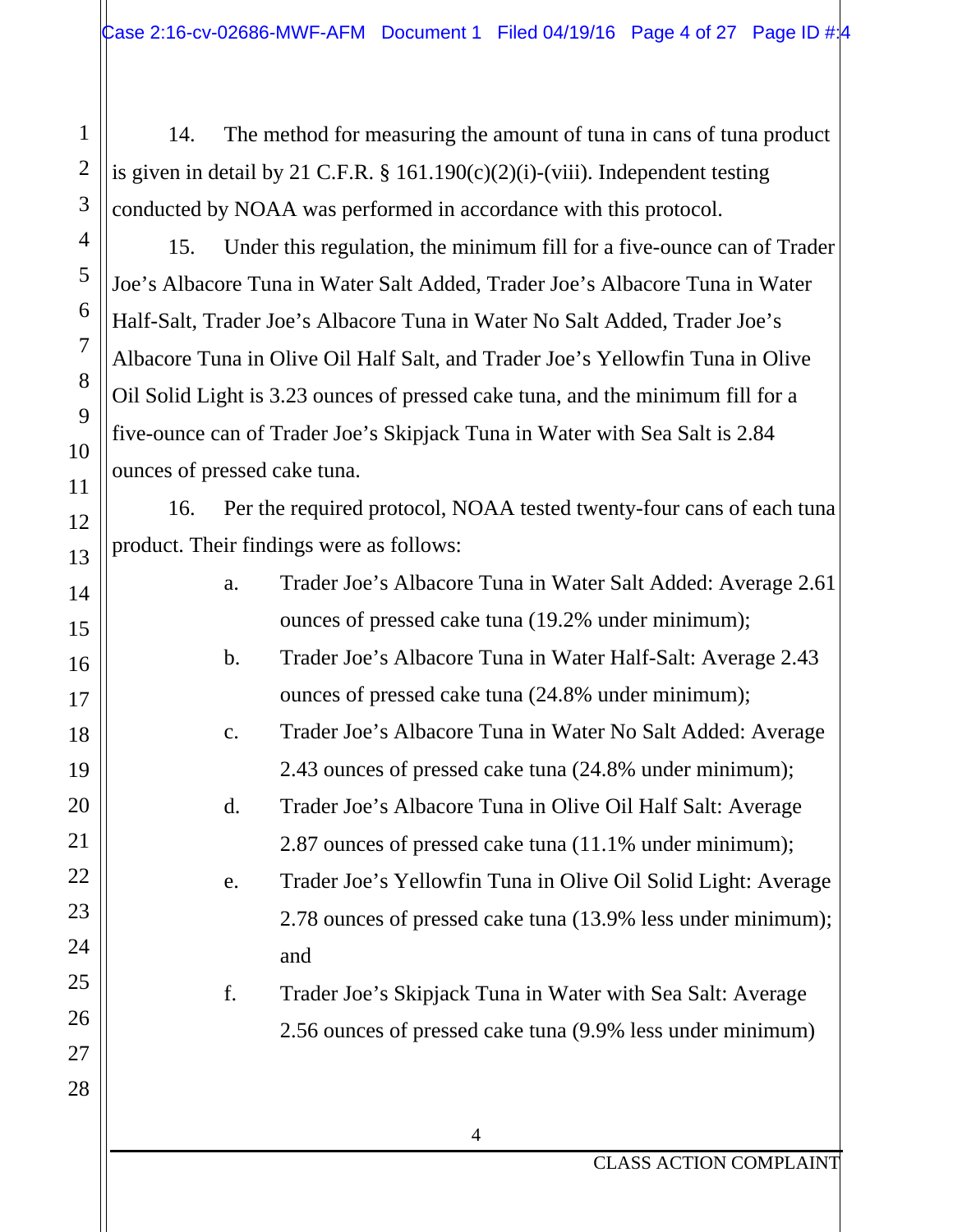14. The method for measuring the amount of tuna in cans of tuna product is given in detail by 21 C.F.R. § 161.190 $(c)(2)(i)$ -(viii). Independent testing conducted by NOAA was performed in accordance with this protocol.

1

2

3

4

5

6

7

8

9

10

11

12

13

14

15

16

17

18

19

20

21

22

23

24

25

26

27

28

15. Under this regulation, the minimum fill for a five-ounce can of Trader Joe's Albacore Tuna in Water Salt Added, Trader Joe's Albacore Tuna in Water Half-Salt, Trader Joe's Albacore Tuna in Water No Salt Added, Trader Joe's Albacore Tuna in Olive Oil Half Salt, and Trader Joe's Yellowfin Tuna in Olive Oil Solid Light is 3.23 ounces of pressed cake tuna, and the minimum fill for a five-ounce can of Trader Joe's Skipjack Tuna in Water with Sea Salt is 2.84 ounces of pressed cake tuna.

16. Per the required protocol, NOAA tested twenty-four cans of each tuna product. Their findings were as follows:

- a. Trader Joe's Albacore Tuna in Water Salt Added: Average 2.61 ounces of pressed cake tuna (19.2% under minimum); b. Trader Joe's Albacore Tuna in Water Half-Salt: Average 2.43
	- ounces of pressed cake tuna (24.8% under minimum);
	- c. Trader Joe's Albacore Tuna in Water No Salt Added: Average 2.43 ounces of pressed cake tuna (24.8% under minimum);
	- d. Trader Joe's Albacore Tuna in Olive Oil Half Salt: Average 2.87 ounces of pressed cake tuna (11.1% under minimum);
	- e. Trader Joe's Yellowfin Tuna in Olive Oil Solid Light: Average 2.78 ounces of pressed cake tuna (13.9% less under minimum); and
	- f. Trader Joe's Skipjack Tuna in Water with Sea Salt: Average 2.56 ounces of pressed cake tuna (9.9% less under minimum)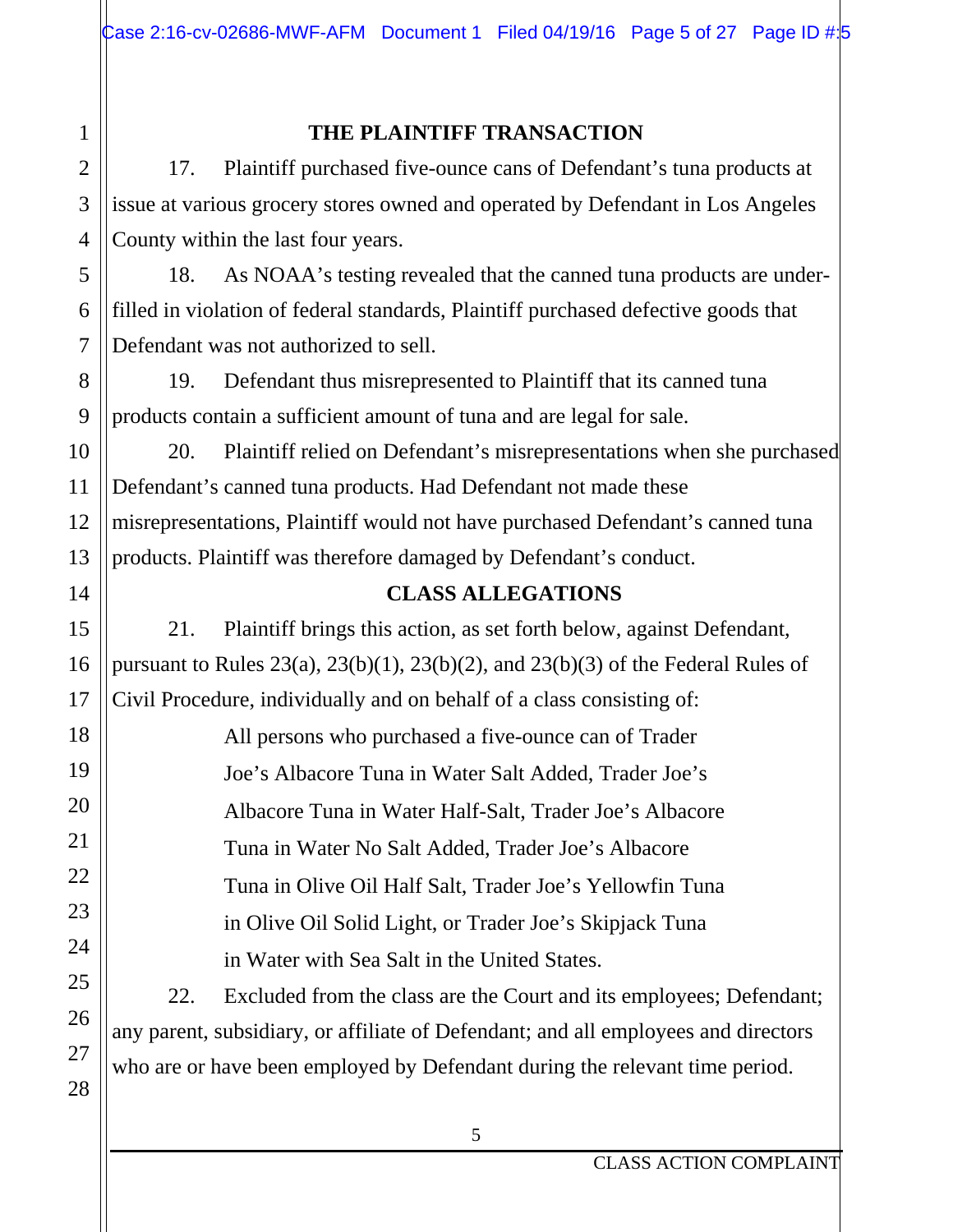## 1 2 3 4 5 6 7 8 9 10 11 12 13 14 15 16 17 18 19 20 21 22 23 24 25 26 27 28

### **THE PLAINTIFF TRANSACTION**

17. Plaintiff purchased five-ounce cans of Defendant's tuna products at issue at various grocery stores owned and operated by Defendant in Los Angeles County within the last four years.

18. As NOAA's testing revealed that the canned tuna products are underfilled in violation of federal standards, Plaintiff purchased defective goods that Defendant was not authorized to sell.

19. Defendant thus misrepresented to Plaintiff that its canned tuna products contain a sufficient amount of tuna and are legal for sale.

20. Plaintiff relied on Defendant's misrepresentations when she purchased Defendant's canned tuna products. Had Defendant not made these misrepresentations, Plaintiff would not have purchased Defendant's canned tuna products. Plaintiff was therefore damaged by Defendant's conduct.

### **CLASS ALLEGATIONS**

21. Plaintiff brings this action, as set forth below, against Defendant, pursuant to Rules  $23(a)$ ,  $23(b)(1)$ ,  $23(b)(2)$ , and  $23(b)(3)$  of the Federal Rules of Civil Procedure, individually and on behalf of a class consisting of:

> All persons who purchased a five-ounce can of Trader Joe's Albacore Tuna in Water Salt Added, Trader Joe's Albacore Tuna in Water Half-Salt, Trader Joe's Albacore Tuna in Water No Salt Added, Trader Joe's Albacore Tuna in Olive Oil Half Salt, Trader Joe's Yellowfin Tuna in Olive Oil Solid Light, or Trader Joe's Skipjack Tuna in Water with Sea Salt in the United States.

22. Excluded from the class are the Court and its employees; Defendant; any parent, subsidiary, or affiliate of Defendant; and all employees and directors who are or have been employed by Defendant during the relevant time period.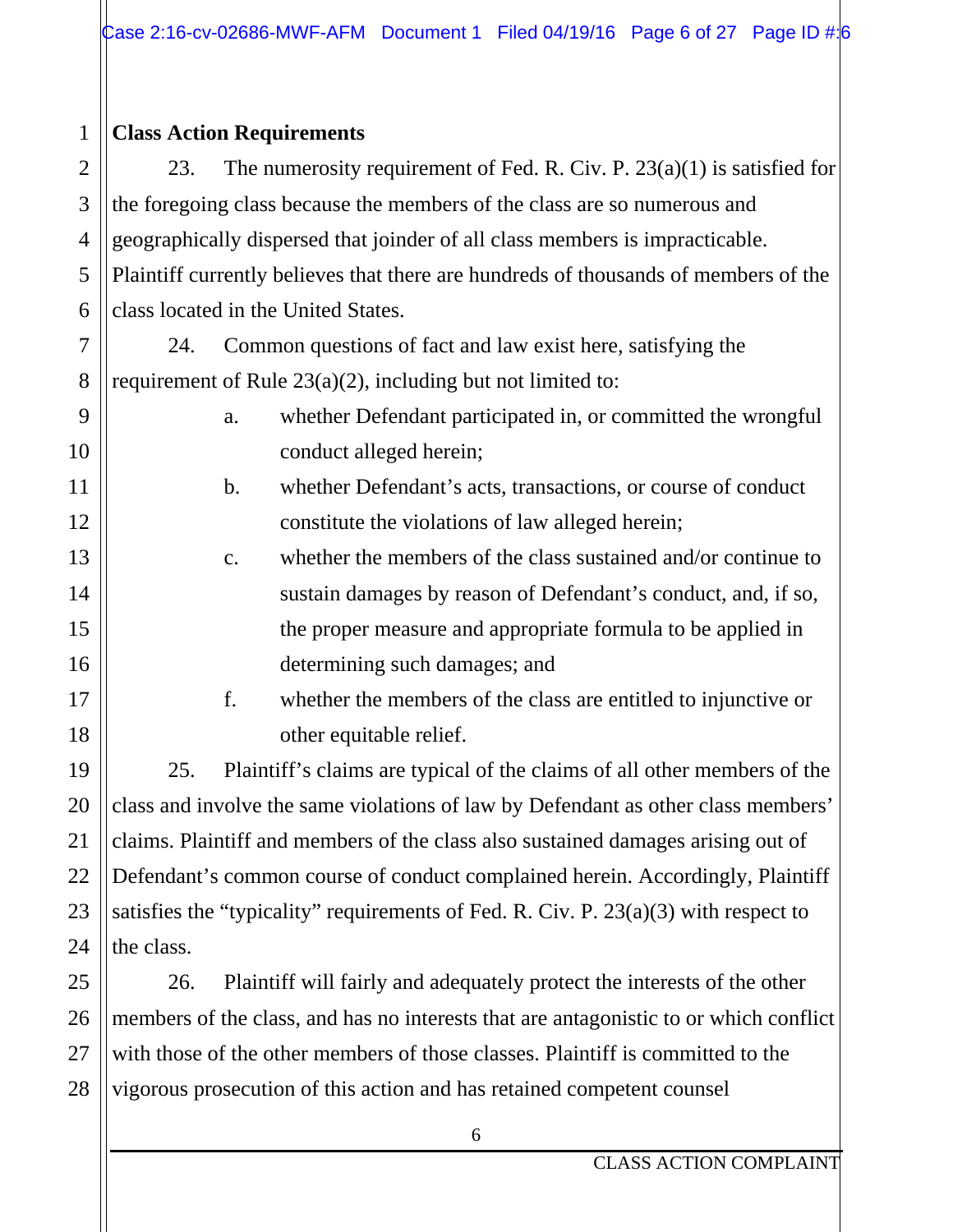#### 1 **Class Action Requirements**

2

3

4

5

6

7

8

9

10

11

12

13

14

15

16

17

18

19

20

21

22

23

24

25

26

27

28

23. The numerosity requirement of Fed. R. Civ. P.  $23(a)(1)$  is satisfied for the foregoing class because the members of the class are so numerous and geographically dispersed that joinder of all class members is impracticable. Plaintiff currently believes that there are hundreds of thousands of members of the class located in the United States.

24. Common questions of fact and law exist here, satisfying the requirement of Rule 23(a)(2), including but not limited to:

- a. whether Defendant participated in, or committed the wrongful conduct alleged herein;
- b. whether Defendant's acts, transactions, or course of conduct constitute the violations of law alleged herein;
- c. whether the members of the class sustained and/or continue to sustain damages by reason of Defendant's conduct, and, if so, the proper measure and appropriate formula to be applied in determining such damages; and
	- f. whether the members of the class are entitled to injunctive or other equitable relief.

25. Plaintiff's claims are typical of the claims of all other members of the class and involve the same violations of law by Defendant as other class members' claims. Plaintiff and members of the class also sustained damages arising out of Defendant's common course of conduct complained herein. Accordingly, Plaintiff satisfies the "typicality" requirements of Fed. R. Civ. P. 23(a)(3) with respect to the class.

26. Plaintiff will fairly and adequately protect the interests of the other members of the class, and has no interests that are antagonistic to or which conflict with those of the other members of those classes. Plaintiff is committed to the vigorous prosecution of this action and has retained competent counsel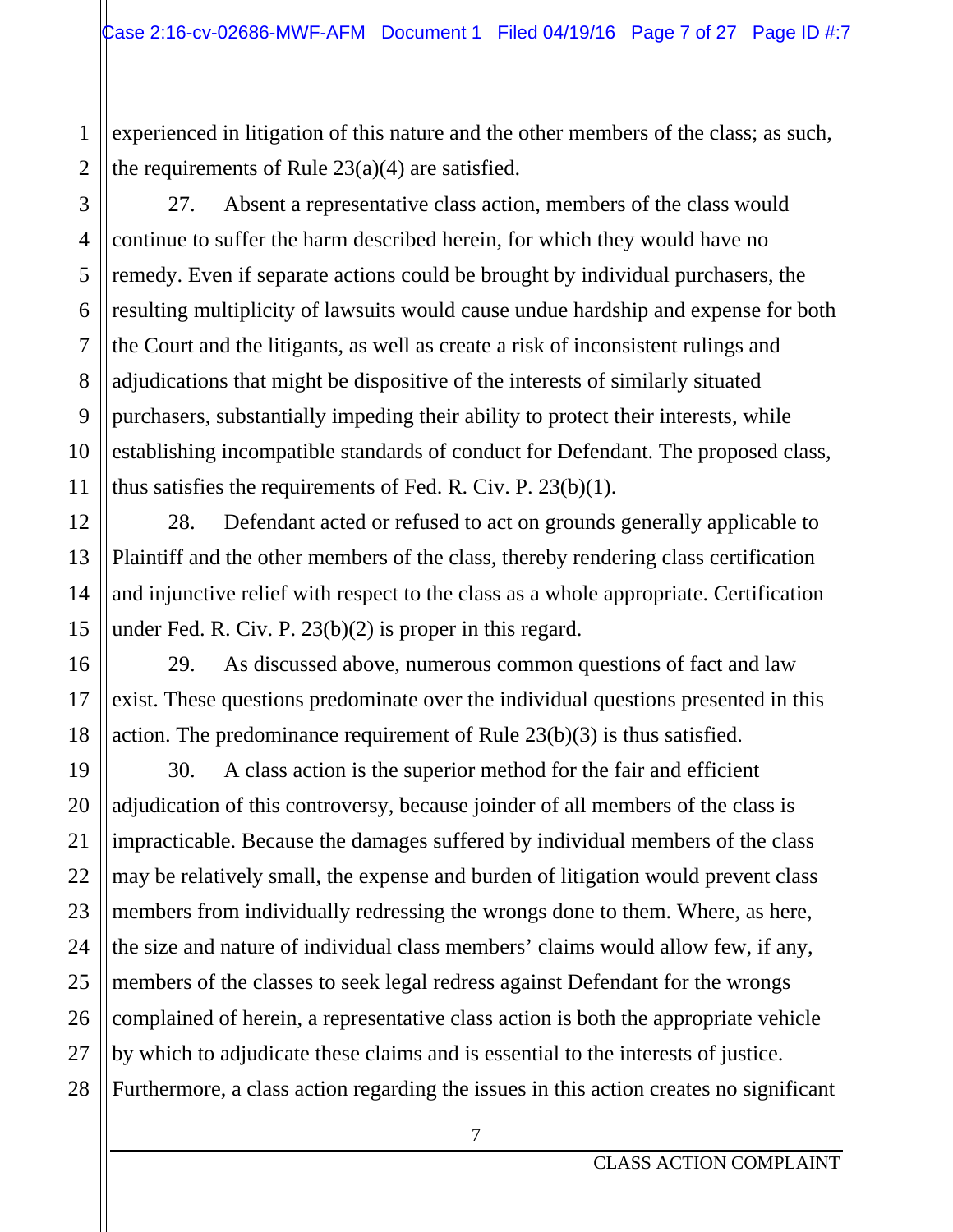experienced in litigation of this nature and the other members of the class; as such, the requirements of Rule  $23(a)(4)$  are satisfied.

27. Absent a representative class action, members of the class would continue to suffer the harm described herein, for which they would have no remedy. Even if separate actions could be brought by individual purchasers, the resulting multiplicity of lawsuits would cause undue hardship and expense for both the Court and the litigants, as well as create a risk of inconsistent rulings and adjudications that might be dispositive of the interests of similarly situated purchasers, substantially impeding their ability to protect their interests, while establishing incompatible standards of conduct for Defendant. The proposed class, thus satisfies the requirements of Fed. R. Civ. P. 23(b)(1).

28. Defendant acted or refused to act on grounds generally applicable to Plaintiff and the other members of the class, thereby rendering class certification and injunctive relief with respect to the class as a whole appropriate. Certification under Fed. R. Civ. P. 23(b)(2) is proper in this regard.

29. As discussed above, numerous common questions of fact and law exist. These questions predominate over the individual questions presented in this action. The predominance requirement of Rule 23(b)(3) is thus satisfied.

30. A class action is the superior method for the fair and efficient adjudication of this controversy, because joinder of all members of the class is impracticable. Because the damages suffered by individual members of the class may be relatively small, the expense and burden of litigation would prevent class members from individually redressing the wrongs done to them. Where, as here, the size and nature of individual class members' claims would allow few, if any, members of the classes to seek legal redress against Defendant for the wrongs complained of herein, a representative class action is both the appropriate vehicle by which to adjudicate these claims and is essential to the interests of justice. Furthermore, a class action regarding the issues in this action creates no significant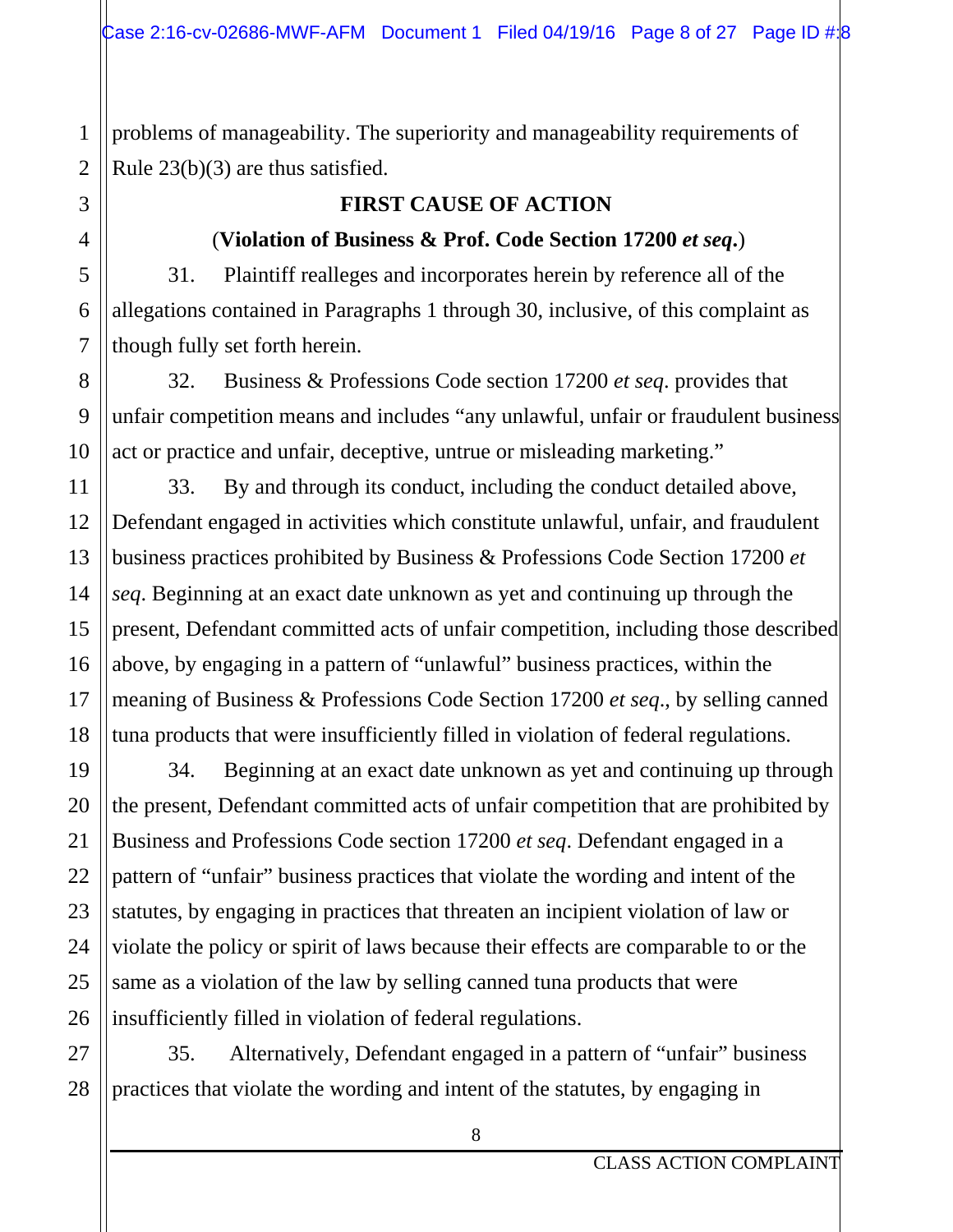problems of manageability. The superiority and manageability requirements of Rule 23(b)(3) are thus satisfied.

#### **FIRST CAUSE OF ACTION**

#### (**Violation of Business & Prof. Code Section 17200** *et seq***.**)

31. Plaintiff realleges and incorporates herein by reference all of the allegations contained in Paragraphs 1 through 30, inclusive, of this complaint as though fully set forth herein.

32. Business & Professions Code section 17200 *et seq*. provides that unfair competition means and includes "any unlawful, unfair or fraudulent business act or practice and unfair, deceptive, untrue or misleading marketing."

33. By and through its conduct, including the conduct detailed above, Defendant engaged in activities which constitute unlawful, unfair, and fraudulent business practices prohibited by Business & Professions Code Section 17200 *et seq*. Beginning at an exact date unknown as yet and continuing up through the present, Defendant committed acts of unfair competition, including those described above, by engaging in a pattern of "unlawful" business practices, within the meaning of Business & Professions Code Section 17200 *et seq*., by selling canned tuna products that were insufficiently filled in violation of federal regulations.

34. Beginning at an exact date unknown as yet and continuing up through the present, Defendant committed acts of unfair competition that are prohibited by Business and Professions Code section 17200 *et seq*. Defendant engaged in a pattern of "unfair" business practices that violate the wording and intent of the statutes, by engaging in practices that threaten an incipient violation of law or violate the policy or spirit of laws because their effects are comparable to or the same as a violation of the law by selling canned tuna products that were insufficiently filled in violation of federal regulations.

35. Alternatively, Defendant engaged in a pattern of "unfair" business practices that violate the wording and intent of the statutes, by engaging in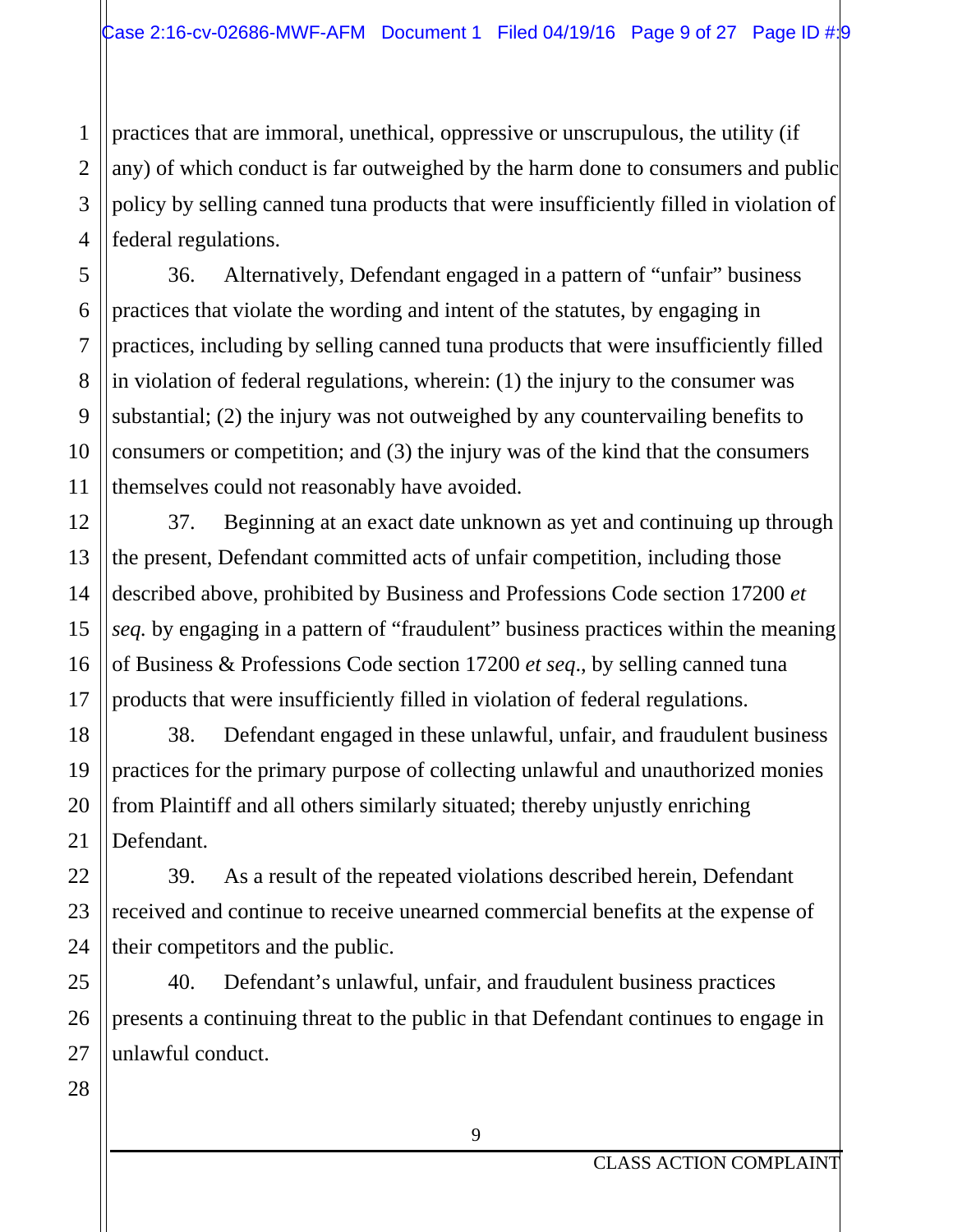practices that are immoral, unethical, oppressive or unscrupulous, the utility (if any) of which conduct is far outweighed by the harm done to consumers and public policy by selling canned tuna products that were insufficiently filled in violation of federal regulations.

36. Alternatively, Defendant engaged in a pattern of "unfair" business practices that violate the wording and intent of the statutes, by engaging in practices, including by selling canned tuna products that were insufficiently filled in violation of federal regulations, wherein: (1) the injury to the consumer was substantial; (2) the injury was not outweighed by any countervailing benefits to consumers or competition; and (3) the injury was of the kind that the consumers themselves could not reasonably have avoided.

37. Beginning at an exact date unknown as yet and continuing up through the present, Defendant committed acts of unfair competition, including those described above, prohibited by Business and Professions Code section 17200 *et seq.* by engaging in a pattern of "fraudulent" business practices within the meaning of Business & Professions Code section 17200 *et seq*., by selling canned tuna products that were insufficiently filled in violation of federal regulations.

38. Defendant engaged in these unlawful, unfair, and fraudulent business practices for the primary purpose of collecting unlawful and unauthorized monies from Plaintiff and all others similarly situated; thereby unjustly enriching Defendant.

39. As a result of the repeated violations described herein, Defendant received and continue to receive unearned commercial benefits at the expense of their competitors and the public.

40. Defendant's unlawful, unfair, and fraudulent business practices presents a continuing threat to the public in that Defendant continues to engage in unlawful conduct.

28

1

2

3

4

5

6

7

8

9

10

11

12

13

14

15

16

17

18

19

20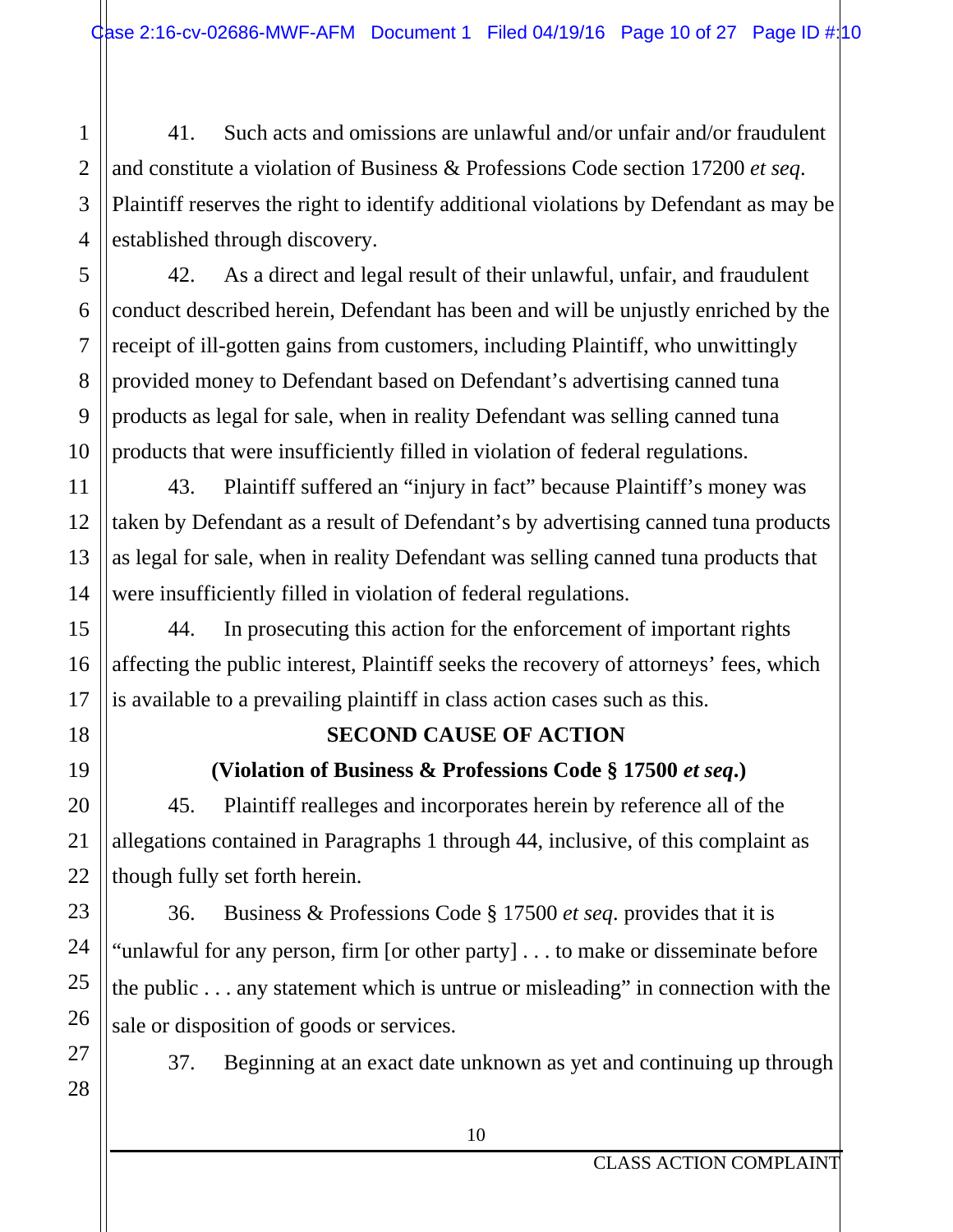41. Such acts and omissions are unlawful and/or unfair and/or fraudulent and constitute a violation of Business & Professions Code section 17200 *et seq*. Plaintiff reserves the right to identify additional violations by Defendant as may be established through discovery.

42. As a direct and legal result of their unlawful, unfair, and fraudulent conduct described herein, Defendant has been and will be unjustly enriched by the receipt of ill-gotten gains from customers, including Plaintiff, who unwittingly provided money to Defendant based on Defendant's advertising canned tuna products as legal for sale, when in reality Defendant was selling canned tuna products that were insufficiently filled in violation of federal regulations.

43. Plaintiff suffered an "injury in fact" because Plaintiff's money was taken by Defendant as a result of Defendant's by advertising canned tuna products as legal for sale, when in reality Defendant was selling canned tuna products that were insufficiently filled in violation of federal regulations.

44. In prosecuting this action for the enforcement of important rights affecting the public interest, Plaintiff seeks the recovery of attorneys' fees, which is available to a prevailing plaintiff in class action cases such as this.

## **SECOND CAUSE OF ACTION**

## **(Violation of Business & Professions Code § 17500** *et seq***.)**

45. Plaintiff realleges and incorporates herein by reference all of the allegations contained in Paragraphs 1 through 44, inclusive, of this complaint as though fully set forth herein.

36. Business & Professions Code § 17500 *et seq*. provides that it is "unlawful for any person, firm [or other party] . . . to make or disseminate before the public . . . any statement which is untrue or misleading" in connection with the sale or disposition of goods or services.

27 28

1

2

3

4

5

6

7

8

9

10

11

12

13

14

15

16

17

18

19

20

21

22

23

24

25

26

37. Beginning at an exact date unknown as yet and continuing up through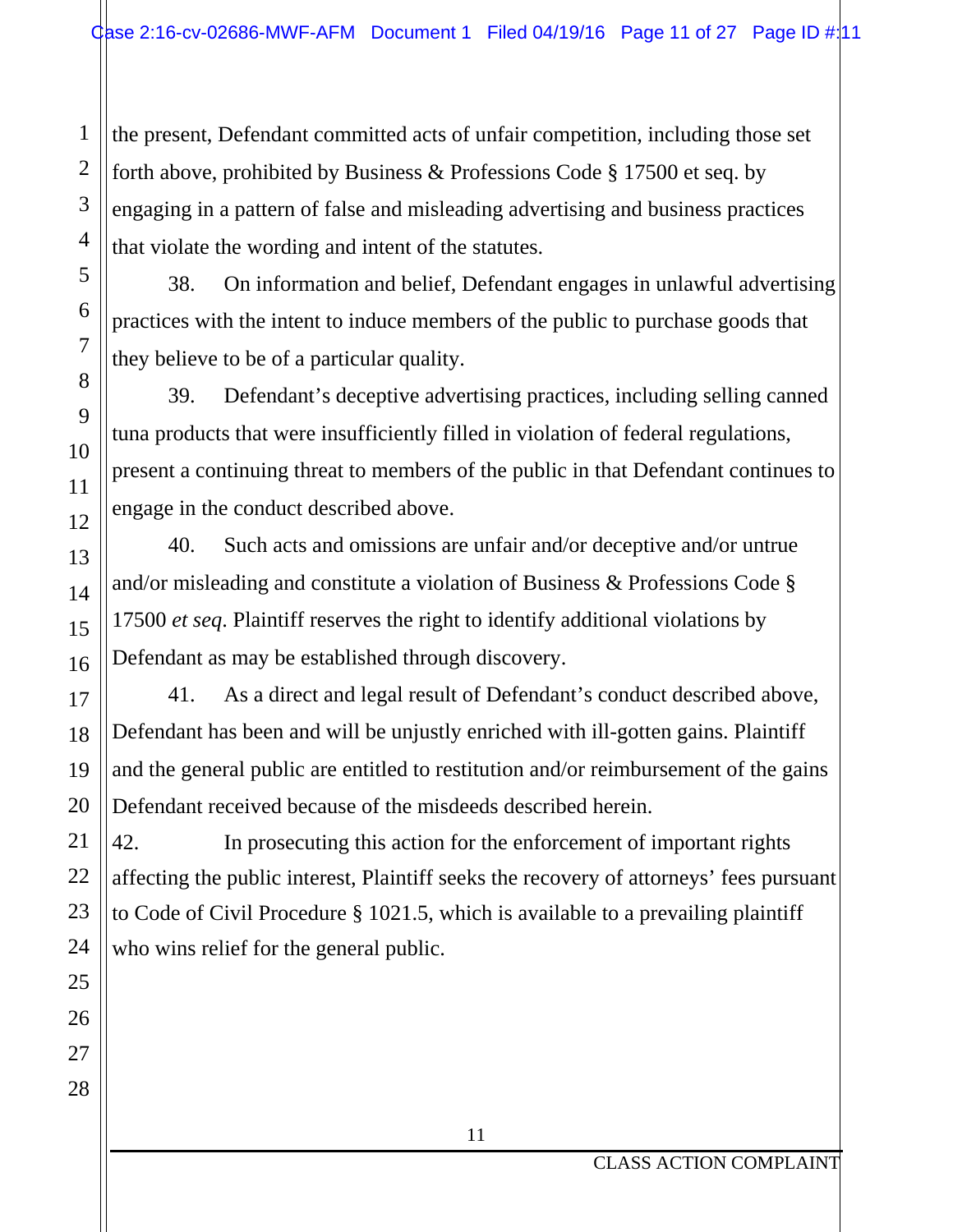the present, Defendant committed acts of unfair competition, including those set forth above, prohibited by Business & Professions Code § 17500 et seq. by engaging in a pattern of false and misleading advertising and business practices that violate the wording and intent of the statutes.

38. On information and belief, Defendant engages in unlawful advertising practices with the intent to induce members of the public to purchase goods that they believe to be of a particular quality.

39. Defendant's deceptive advertising practices, including selling canned tuna products that were insufficiently filled in violation of federal regulations, present a continuing threat to members of the public in that Defendant continues to engage in the conduct described above.

40. Such acts and omissions are unfair and/or deceptive and/or untrue and/or misleading and constitute a violation of Business & Professions Code § 17500 *et seq*. Plaintiff reserves the right to identify additional violations by Defendant as may be established through discovery.

41. As a direct and legal result of Defendant's conduct described above, Defendant has been and will be unjustly enriched with ill-gotten gains. Plaintiff and the general public are entitled to restitution and/or reimbursement of the gains Defendant received because of the misdeeds described herein.

42. In prosecuting this action for the enforcement of important rights affecting the public interest, Plaintiff seeks the recovery of attorneys' fees pursuant to Code of Civil Procedure § 1021.5, which is available to a prevailing plaintiff who wins relief for the general public.

1

2

3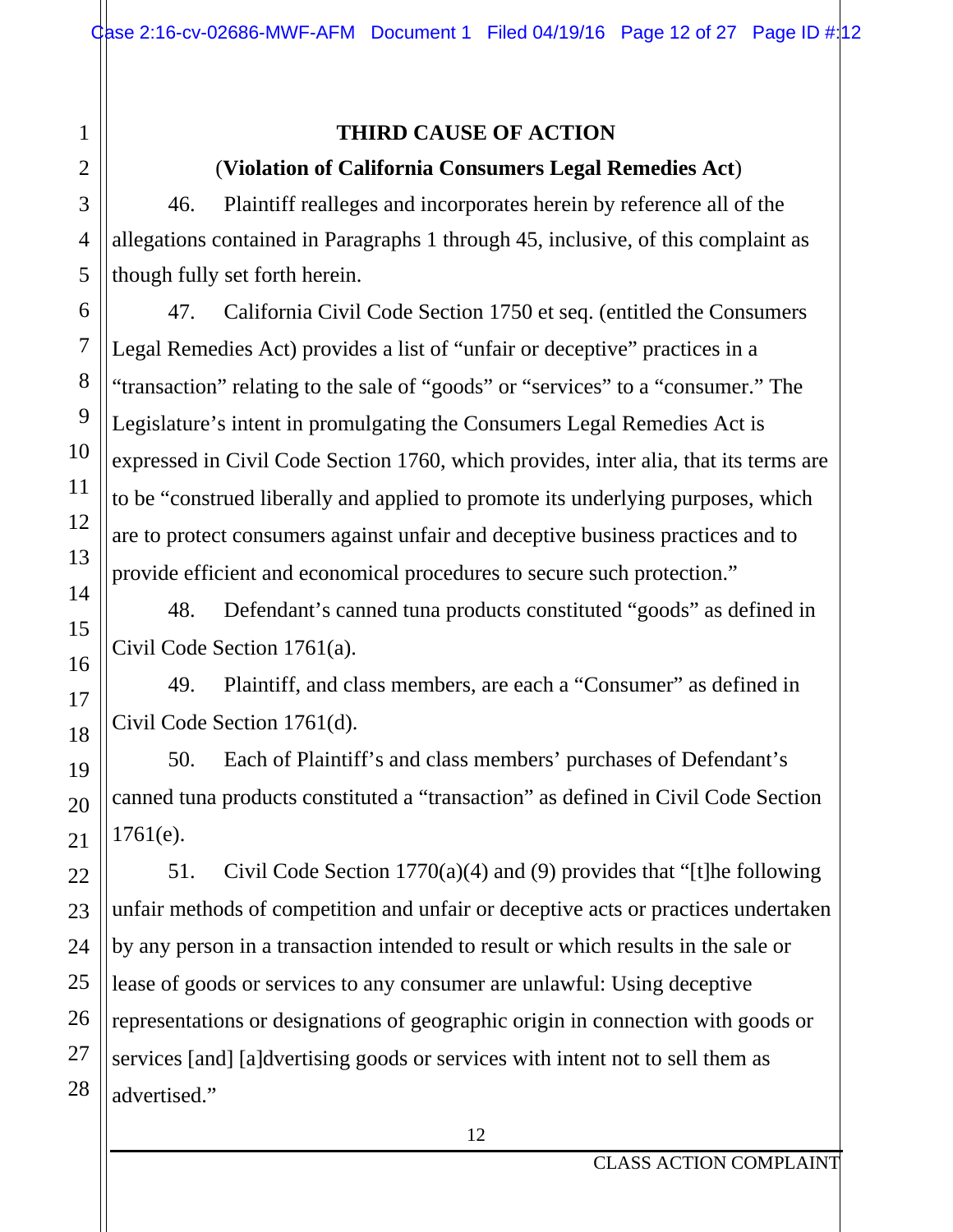#### **THIRD CAUSE OF ACTION**

#### (**Violation of California Consumers Legal Remedies Act**)

46. Plaintiff realleges and incorporates herein by reference all of the allegations contained in Paragraphs 1 through 45, inclusive, of this complaint as though fully set forth herein.

47. California Civil Code Section 1750 et seq. (entitled the Consumers Legal Remedies Act) provides a list of "unfair or deceptive" practices in a "transaction" relating to the sale of "goods" or "services" to a "consumer." The Legislature's intent in promulgating the Consumers Legal Remedies Act is expressed in Civil Code Section 1760, which provides, inter alia, that its terms are to be "construed liberally and applied to promote its underlying purposes, which are to protect consumers against unfair and deceptive business practices and to provide efficient and economical procedures to secure such protection."

48. Defendant's canned tuna products constituted "goods" as defined in Civil Code Section 1761(a).

49. Plaintiff, and class members, are each a "Consumer" as defined in Civil Code Section 1761(d).

50. Each of Plaintiff's and class members' purchases of Defendant's canned tuna products constituted a "transaction" as defined in Civil Code Section  $1761(e)$ .

51. Civil Code Section 1770(a)(4) and (9) provides that "[t]he following unfair methods of competition and unfair or deceptive acts or practices undertaken by any person in a transaction intended to result or which results in the sale or lease of goods or services to any consumer are unlawful: Using deceptive representations or designations of geographic origin in connection with goods or services [and] [a]dvertising goods or services with intent not to sell them as advertised."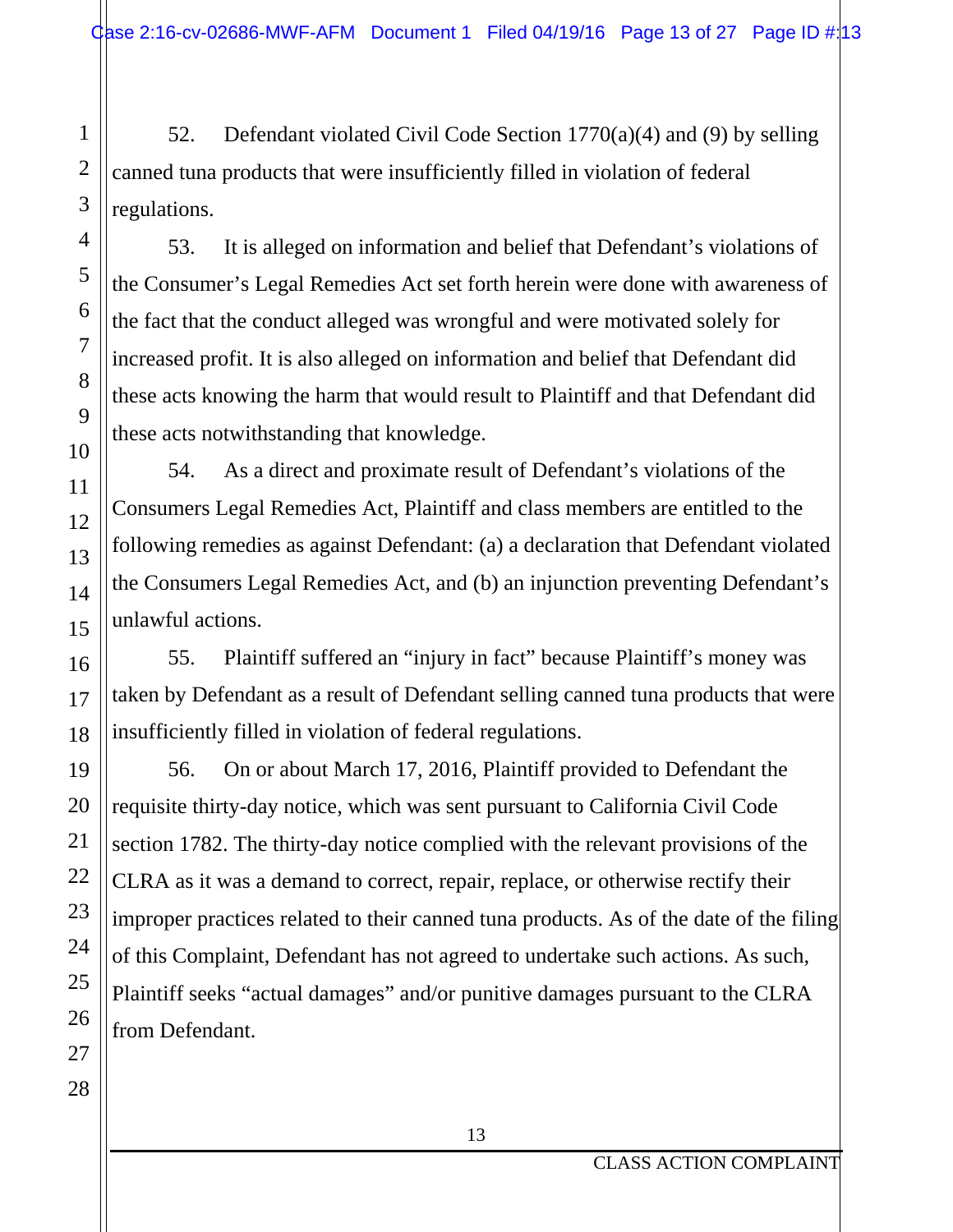52. Defendant violated Civil Code Section 1770(a)(4) and (9) by selling canned tuna products that were insufficiently filled in violation of federal regulations.

53. It is alleged on information and belief that Defendant's violations of the Consumer's Legal Remedies Act set forth herein were done with awareness of the fact that the conduct alleged was wrongful and were motivated solely for increased profit. It is also alleged on information and belief that Defendant did these acts knowing the harm that would result to Plaintiff and that Defendant did these acts notwithstanding that knowledge.

54. As a direct and proximate result of Defendant's violations of the Consumers Legal Remedies Act, Plaintiff and class members are entitled to the following remedies as against Defendant: (a) a declaration that Defendant violated the Consumers Legal Remedies Act, and (b) an injunction preventing Defendant's unlawful actions.

55. Plaintiff suffered an "injury in fact" because Plaintiff's money was taken by Defendant as a result of Defendant selling canned tuna products that were insufficiently filled in violation of federal regulations.

56. On or about March 17, 2016, Plaintiff provided to Defendant the requisite thirty-day notice, which was sent pursuant to California Civil Code section 1782. The thirty-day notice complied with the relevant provisions of the CLRA as it was a demand to correct, repair, replace, or otherwise rectify their improper practices related to their canned tuna products. As of the date of the filing of this Complaint, Defendant has not agreed to undertake such actions. As such, Plaintiff seeks "actual damages" and/or punitive damages pursuant to the CLRA from Defendant.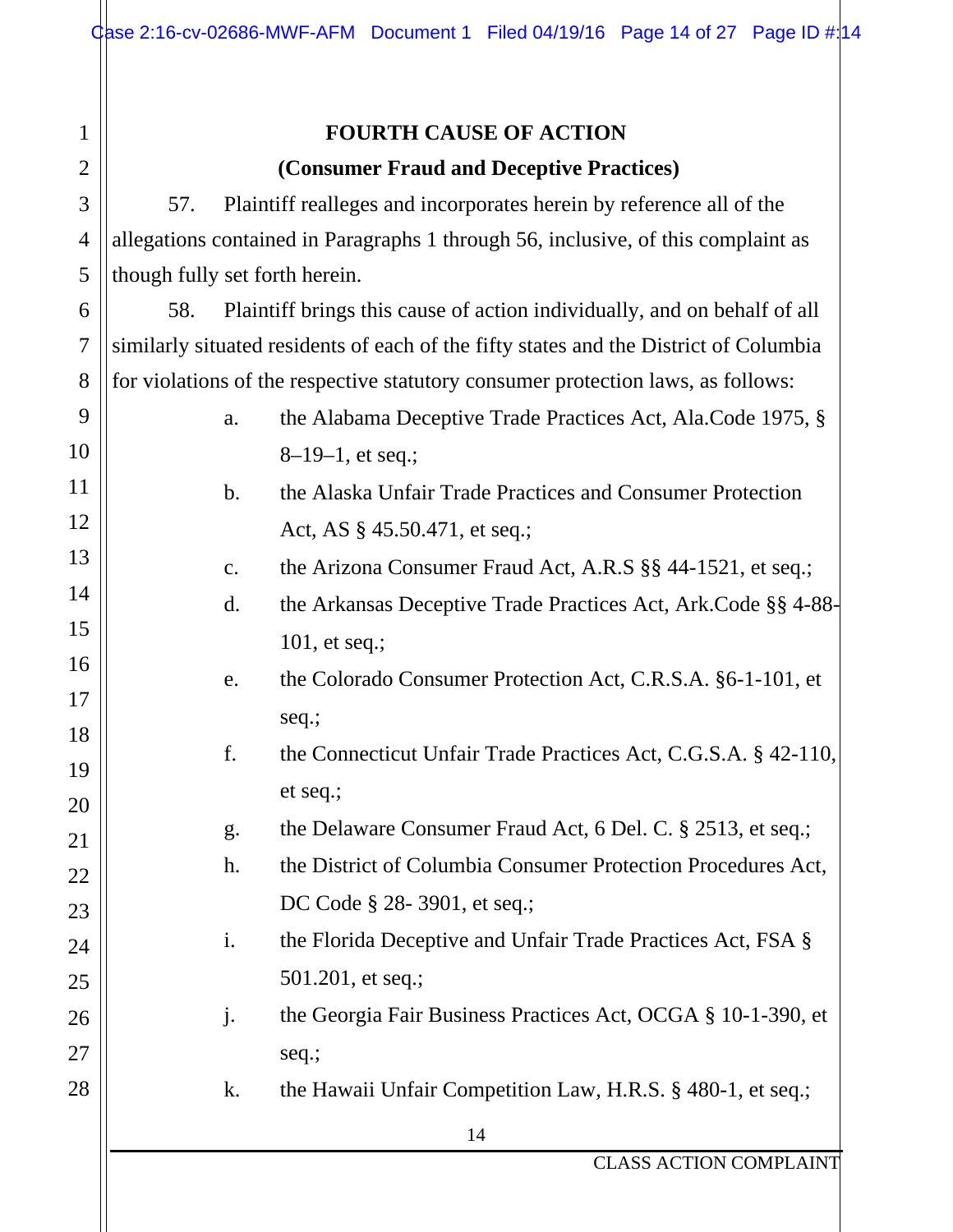| $\mathbf{1}$   | <b>FOURTH CAUSE OF ACTION</b>            |                |                                                                                       |  |  |
|----------------|------------------------------------------|----------------|---------------------------------------------------------------------------------------|--|--|
| $\overline{2}$ | (Consumer Fraud and Deceptive Practices) |                |                                                                                       |  |  |
| 3              | 57.                                      |                | Plaintiff realleges and incorporates herein by reference all of the                   |  |  |
| 4              |                                          |                | allegations contained in Paragraphs 1 through 56, inclusive, of this complaint as     |  |  |
| 5              |                                          |                | though fully set forth herein.                                                        |  |  |
| 6              | 58.                                      |                | Plaintiff brings this cause of action individually, and on behalf of all              |  |  |
| 7              |                                          |                | similarly situated residents of each of the fifty states and the District of Columbia |  |  |
| 8              |                                          |                | for violations of the respective statutory consumer protection laws, as follows:      |  |  |
| 9              |                                          | a.             | the Alabama Deceptive Trade Practices Act, Ala.Code 1975, §                           |  |  |
| 10             |                                          |                | $8-19-1$ , et seq.;                                                                   |  |  |
| 11             |                                          | $\mathbf{b}$ . | the Alaska Unfair Trade Practices and Consumer Protection                             |  |  |
| 12             |                                          |                | Act, AS § 45.50.471, et seq.;                                                         |  |  |
| 13             |                                          | c.             | the Arizona Consumer Fraud Act, A.R.S §§ 44-1521, et seq.;                            |  |  |
| 14             |                                          | $\mathbf{d}$ . | the Arkansas Deceptive Trade Practices Act, Ark. Code §§ 4-88-                        |  |  |
| 15             |                                          |                | 101, et seq.;                                                                         |  |  |
| 16             |                                          | e.             | the Colorado Consumer Protection Act, C.R.S.A. §6-1-101, et                           |  |  |
| 17             |                                          |                | seq.;                                                                                 |  |  |
| 18             |                                          | f.             | the Connecticut Unfair Trade Practices Act, C.G.S.A. § 42-110,                        |  |  |
| 19             |                                          |                | et seq.;                                                                              |  |  |
| 20             |                                          | g.             | the Delaware Consumer Fraud Act, 6 Del. C. § 2513, et seq.;                           |  |  |
| 21             |                                          | h.             | the District of Columbia Consumer Protection Procedures Act,                          |  |  |
| $22\,$<br>23   |                                          |                | DC Code § 28-3901, et seq.;                                                           |  |  |
| 24             |                                          | i.             | the Florida Deceptive and Unfair Trade Practices Act, FSA §                           |  |  |
| 25             |                                          |                | 501.201, et seq.;                                                                     |  |  |
| 26             |                                          | j.             | the Georgia Fair Business Practices Act, OCGA § 10-1-390, et                          |  |  |
| 27             |                                          |                | seq.;                                                                                 |  |  |
| 28             |                                          | k.             | the Hawaii Unfair Competition Law, H.R.S. § 480-1, et seq.;                           |  |  |
|                |                                          |                | 14                                                                                    |  |  |
|                |                                          |                |                                                                                       |  |  |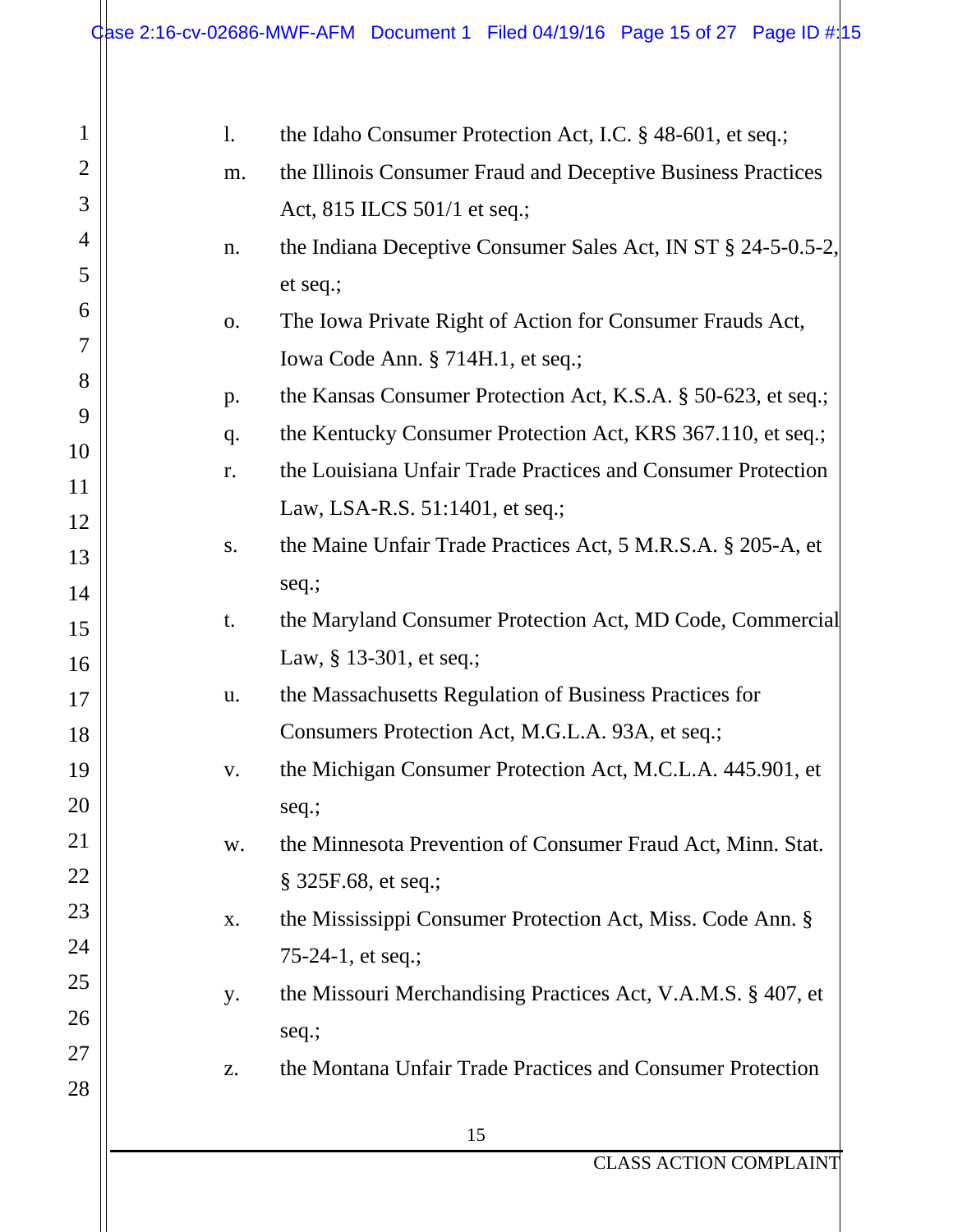| $\mathbf{1}$   | $\mathbf{1}$ . | the Idaho Consumer Protection Act, I.C. § 48-601, et seq.;    |
|----------------|----------------|---------------------------------------------------------------|
| $\overline{2}$ | m.             | the Illinois Consumer Fraud and Deceptive Business Practices  |
| 3              |                | Act, 815 ILCS 501/1 et seq.;                                  |
| 4              | n.             | the Indiana Deceptive Consumer Sales Act, IN ST § 24-5-0.5-2, |
| 5              |                | et seq.;                                                      |
| 6              | 0.             | The Iowa Private Right of Action for Consumer Frauds Act,     |
| 7              |                | Iowa Code Ann. § 714H.1, et seq.;                             |
| 8              | p.             | the Kansas Consumer Protection Act, K.S.A. § 50-623, et seq.; |
| 9              | q.             | the Kentucky Consumer Protection Act, KRS 367.110, et seq.;   |
| 10             | r.             | the Louisiana Unfair Trade Practices and Consumer Protection  |
| 11             |                | Law, LSA-R.S. 51:1401, et seq.;                               |
| 12             | S.             | the Maine Unfair Trade Practices Act, 5 M.R.S.A. § 205-A, et  |
| 13             |                | seq.;                                                         |
| 14             | t.             | the Maryland Consumer Protection Act, MD Code, Commercial     |
| 15             |                | Law, § 13-301, et seq.;                                       |
| 16             | u.             | the Massachusetts Regulation of Business Practices for        |
| 17             |                | Consumers Protection Act, M.G.L.A. 93A, et seq.;              |
| 18<br>19       | V.             | the Michigan Consumer Protection Act, M.C.L.A. 445.901, et    |
| 20             |                |                                                               |
| 21             |                | seq.;                                                         |
| 22             | W.             | the Minnesota Prevention of Consumer Fraud Act, Minn. Stat.   |
| 23             |                | $\S$ 325F.68, et seq.;                                        |
| 24             | X.             | the Mississippi Consumer Protection Act, Miss. Code Ann. §    |
| 25             |                | 75-24-1, et seq.;                                             |
| 26             | y.             | the Missouri Merchandising Practices Act, V.A.M.S. § 407, et  |
| 27             |                | seq.;                                                         |
| 28             | Z.             | the Montana Unfair Trade Practices and Consumer Protection    |
|                |                | 15                                                            |
|                |                |                                                               |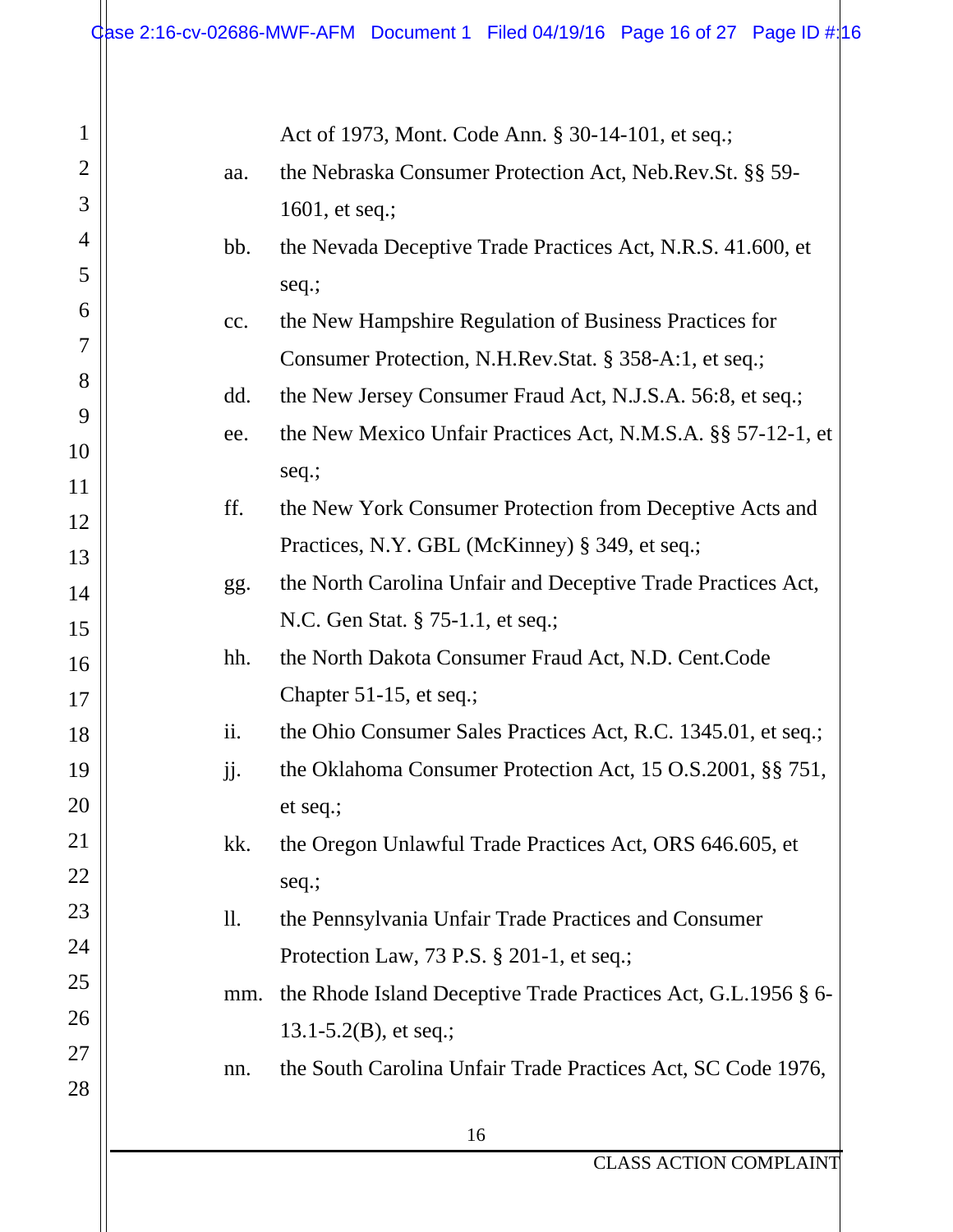1

2

3

4

5

6

7

8

9

10

11

12

13

14

15

16

17

18

19

20

21

22

23

24

25

26

27

28

Act of 1973, Mont. Code Ann. § 30-14-101, et seq.;

aa. the Nebraska Consumer Protection Act, Neb.Rev.St. §§ 59- 1601, et seq.;

## bb. the Nevada Deceptive Trade Practices Act, N.R.S. 41.600, et seq.;

- cc. the New Hampshire Regulation of Business Practices for Consumer Protection, N.H.Rev.Stat. § 358-A:1, et seq.;
	- dd. the New Jersey Consumer Fraud Act, N.J.S.A. 56:8, et seq.;
	- ee. the New Mexico Unfair Practices Act, N.M.S.A. §§ 57-12-1, et seq.;
	- ff. the New York Consumer Protection from Deceptive Acts and Practices, N.Y. GBL (McKinney) § 349, et seq.;
	- gg. the North Carolina Unfair and Deceptive Trade Practices Act, N.C. Gen Stat. § 75-1.1, et seq.;
	- hh. the North Dakota Consumer Fraud Act, N.D. Cent.Code Chapter 51-15, et seq.;
	- ii. the Ohio Consumer Sales Practices Act, R.C. 1345.01, et seq.;
	- jj. the Oklahoma Consumer Protection Act, 15 O.S.2001, §§ 751, et seq.;
	- kk. the Oregon Unlawful Trade Practices Act, ORS 646.605, et seq.;
	- ll. the Pennsylvania Unfair Trade Practices and Consumer Protection Law, 73 P.S. § 201-1, et seq.;
	- mm. the Rhode Island Deceptive Trade Practices Act, G.L.1956 § 6- 13.1-5.2(B), et seq.;
	- nn. the South Carolina Unfair Trade Practices Act, SC Code 1976,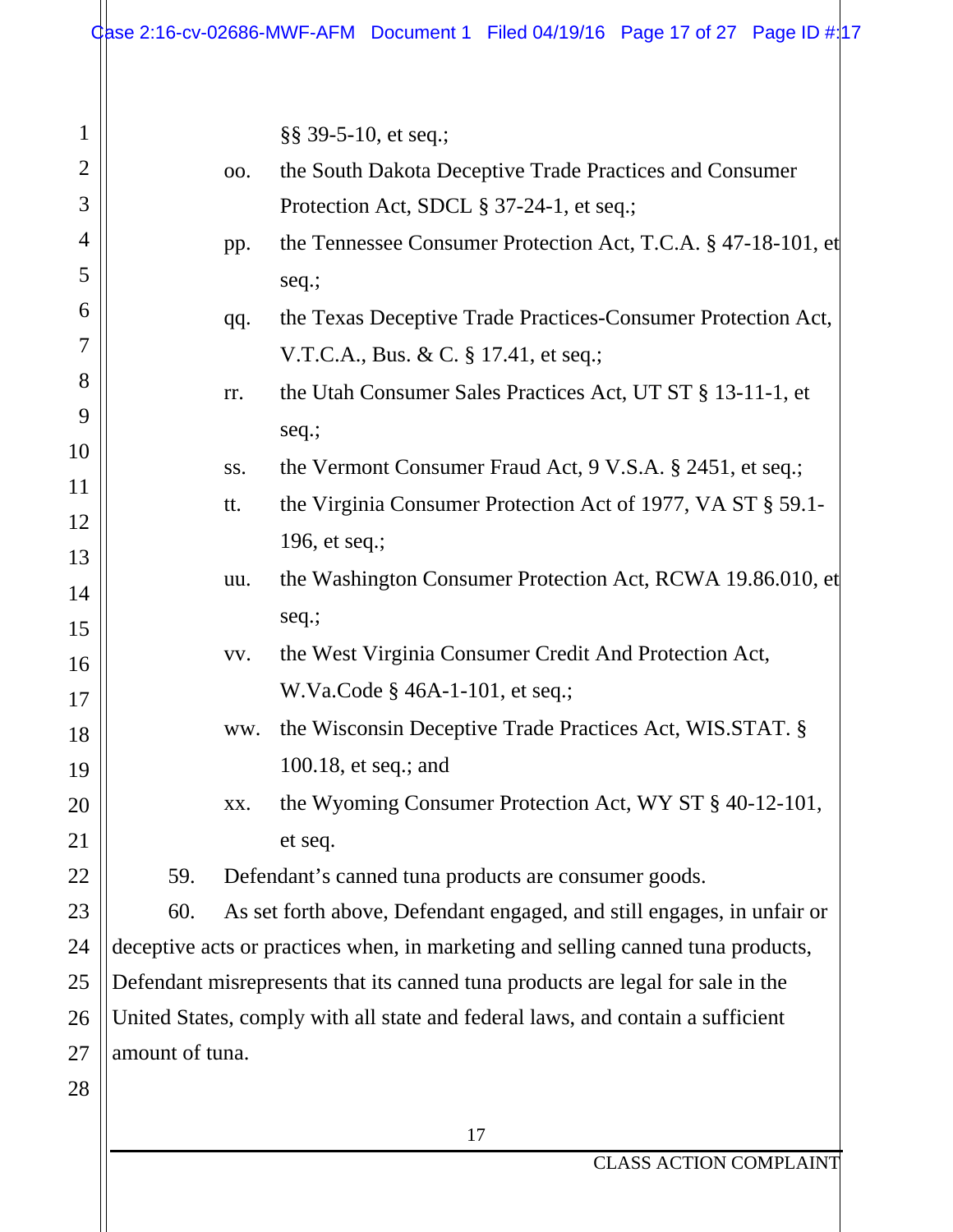| $\mathbf{1}$   |                                                                                 |     | §§ 39-5-10, et seq.;                                                             |
|----------------|---------------------------------------------------------------------------------|-----|----------------------------------------------------------------------------------|
| $\overline{2}$ |                                                                                 | 00. | the South Dakota Deceptive Trade Practices and Consumer                          |
| 3              |                                                                                 |     | Protection Act, SDCL § 37-24-1, et seq.;                                         |
| 4              |                                                                                 | pp. | the Tennessee Consumer Protection Act, T.C.A. § 47-18-101, et                    |
| 5              |                                                                                 |     | seq.;                                                                            |
| 6              |                                                                                 | qq. | the Texas Deceptive Trade Practices-Consumer Protection Act,                     |
| 7              |                                                                                 |     | V.T.C.A., Bus. & C. § 17.41, et seq.;                                            |
| 8              |                                                                                 | rr. | the Utah Consumer Sales Practices Act, UT ST § 13-11-1, et                       |
| 9              |                                                                                 |     | seq.;                                                                            |
| 10             |                                                                                 | SS. | the Vermont Consumer Fraud Act, 9 V.S.A. § 2451, et seq.;                        |
| 11             |                                                                                 | tt. | the Virginia Consumer Protection Act of 1977, VA ST § 59.1-                      |
| 12             |                                                                                 |     | 196, et seq.;                                                                    |
| 13             |                                                                                 | uu. | the Washington Consumer Protection Act, RCWA 19.86.010, et                       |
| 14             |                                                                                 |     | seq.;                                                                            |
| 15             |                                                                                 | VV. | the West Virginia Consumer Credit And Protection Act,                            |
| 16             |                                                                                 |     | W.Va.Code § 46A-1-101, et seq.;                                                  |
| 17             |                                                                                 | ww. | the Wisconsin Deceptive Trade Practices Act, WIS.STAT. §                         |
| 18             |                                                                                 |     | 100.18, et seq.; and                                                             |
| 19             |                                                                                 | XX. | the Wyoming Consumer Protection Act, WY ST § 40-12-101,                          |
| 20             |                                                                                 |     |                                                                                  |
| 21<br>22       | 59.                                                                             |     | et seq.<br>Defendant's canned tuna products are consumer goods.                  |
| 23             | 60.                                                                             |     | As set forth above, Defendant engaged, and still engages, in unfair or           |
| 24             |                                                                                 |     | deceptive acts or practices when, in marketing and selling canned tuna products, |
| 25             | Defendant misrepresents that its canned tuna products are legal for sale in the |     |                                                                                  |
| 26             | United States, comply with all state and federal laws, and contain a sufficient |     |                                                                                  |
| 27             | amount of tuna.                                                                 |     |                                                                                  |
| 28             |                                                                                 |     |                                                                                  |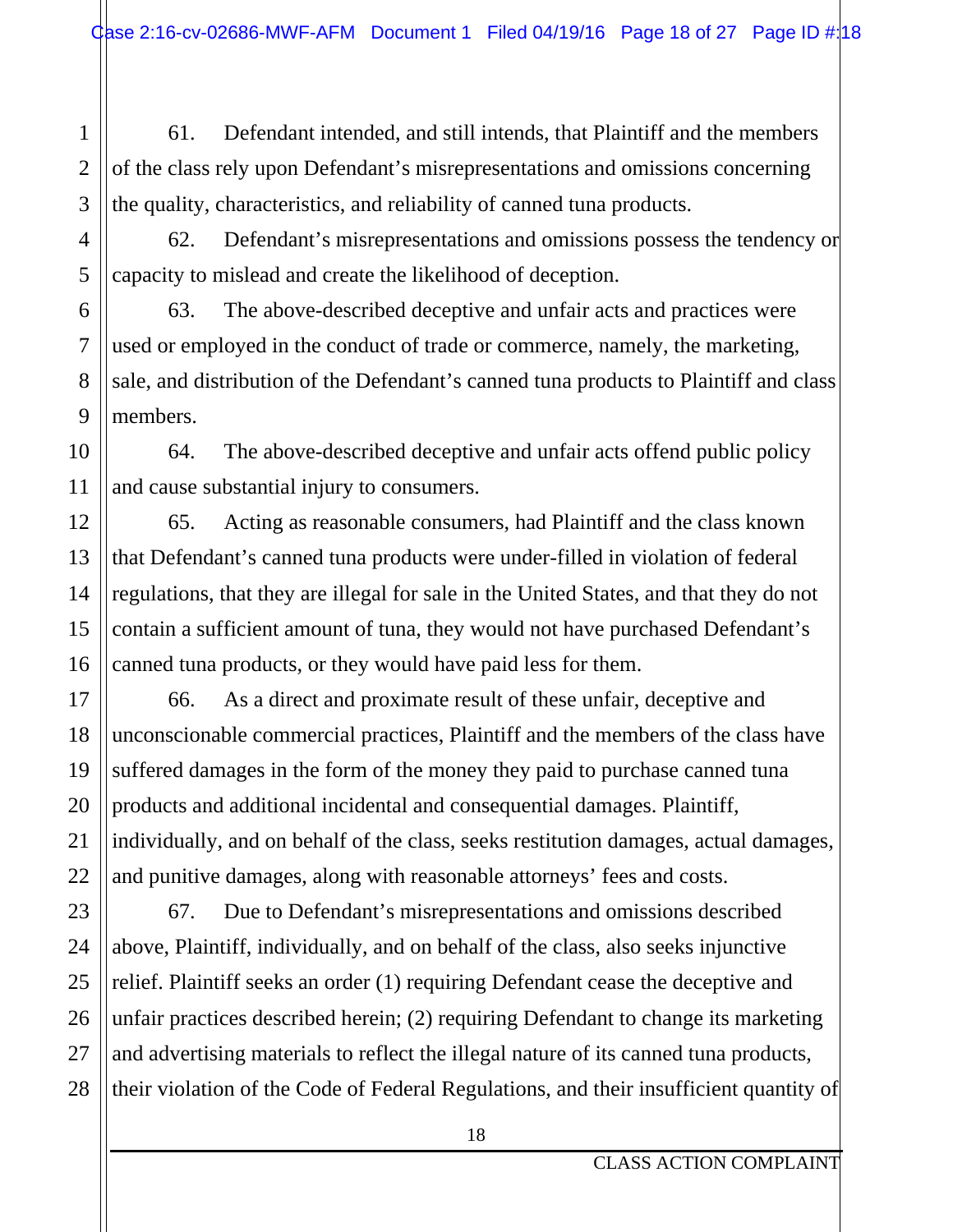61. Defendant intended, and still intends, that Plaintiff and the members of the class rely upon Defendant's misrepresentations and omissions concerning the quality, characteristics, and reliability of canned tuna products.

62. Defendant's misrepresentations and omissions possess the tendency or capacity to mislead and create the likelihood of deception.

63. The above-described deceptive and unfair acts and practices were used or employed in the conduct of trade or commerce, namely, the marketing, sale, and distribution of the Defendant's canned tuna products to Plaintiff and class members.

64. The above-described deceptive and unfair acts offend public policy and cause substantial injury to consumers.

65. Acting as reasonable consumers, had Plaintiff and the class known that Defendant's canned tuna products were under-filled in violation of federal regulations, that they are illegal for sale in the United States, and that they do not contain a sufficient amount of tuna, they would not have purchased Defendant's canned tuna products, or they would have paid less for them.

66. As a direct and proximate result of these unfair, deceptive and unconscionable commercial practices, Plaintiff and the members of the class have suffered damages in the form of the money they paid to purchase canned tuna products and additional incidental and consequential damages. Plaintiff, individually, and on behalf of the class, seeks restitution damages, actual damages, and punitive damages, along with reasonable attorneys' fees and costs.

67. Due to Defendant's misrepresentations and omissions described above, Plaintiff, individually, and on behalf of the class, also seeks injunctive relief. Plaintiff seeks an order (1) requiring Defendant cease the deceptive and unfair practices described herein; (2) requiring Defendant to change its marketing and advertising materials to reflect the illegal nature of its canned tuna products, their violation of the Code of Federal Regulations, and their insufficient quantity of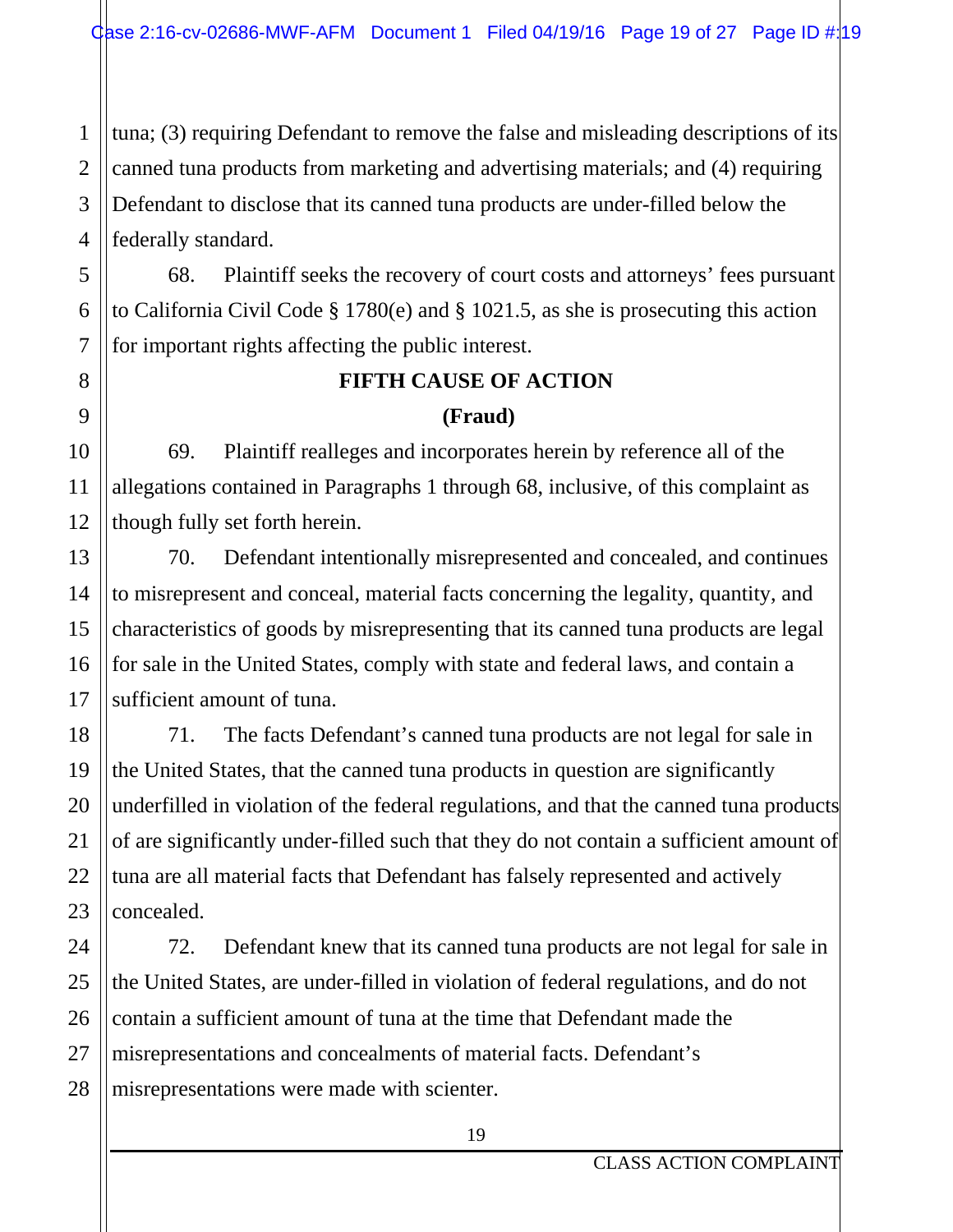1 tuna; (3) requiring Defendant to remove the false and misleading descriptions of its canned tuna products from marketing and advertising materials; and (4) requiring Defendant to disclose that its canned tuna products are under-filled below the federally standard.

68. Plaintiff seeks the recovery of court costs and attorneys' fees pursuant to California Civil Code § 1780(e) and § 1021.5, as she is prosecuting this action for important rights affecting the public interest.

# **FIFTH CAUSE OF ACTION**

#### **(Fraud)**

69. Plaintiff realleges and incorporates herein by reference all of the allegations contained in Paragraphs 1 through 68, inclusive, of this complaint as though fully set forth herein.

70. Defendant intentionally misrepresented and concealed, and continues to misrepresent and conceal, material facts concerning the legality, quantity, and characteristics of goods by misrepresenting that its canned tuna products are legal for sale in the United States, comply with state and federal laws, and contain a sufficient amount of tuna.

71. The facts Defendant's canned tuna products are not legal for sale in the United States, that the canned tuna products in question are significantly underfilled in violation of the federal regulations, and that the canned tuna products of are significantly under-filled such that they do not contain a sufficient amount of tuna are all material facts that Defendant has falsely represented and actively concealed.

72. Defendant knew that its canned tuna products are not legal for sale in the United States, are under-filled in violation of federal regulations, and do not contain a sufficient amount of tuna at the time that Defendant made the misrepresentations and concealments of material facts. Defendant's misrepresentations were made with scienter.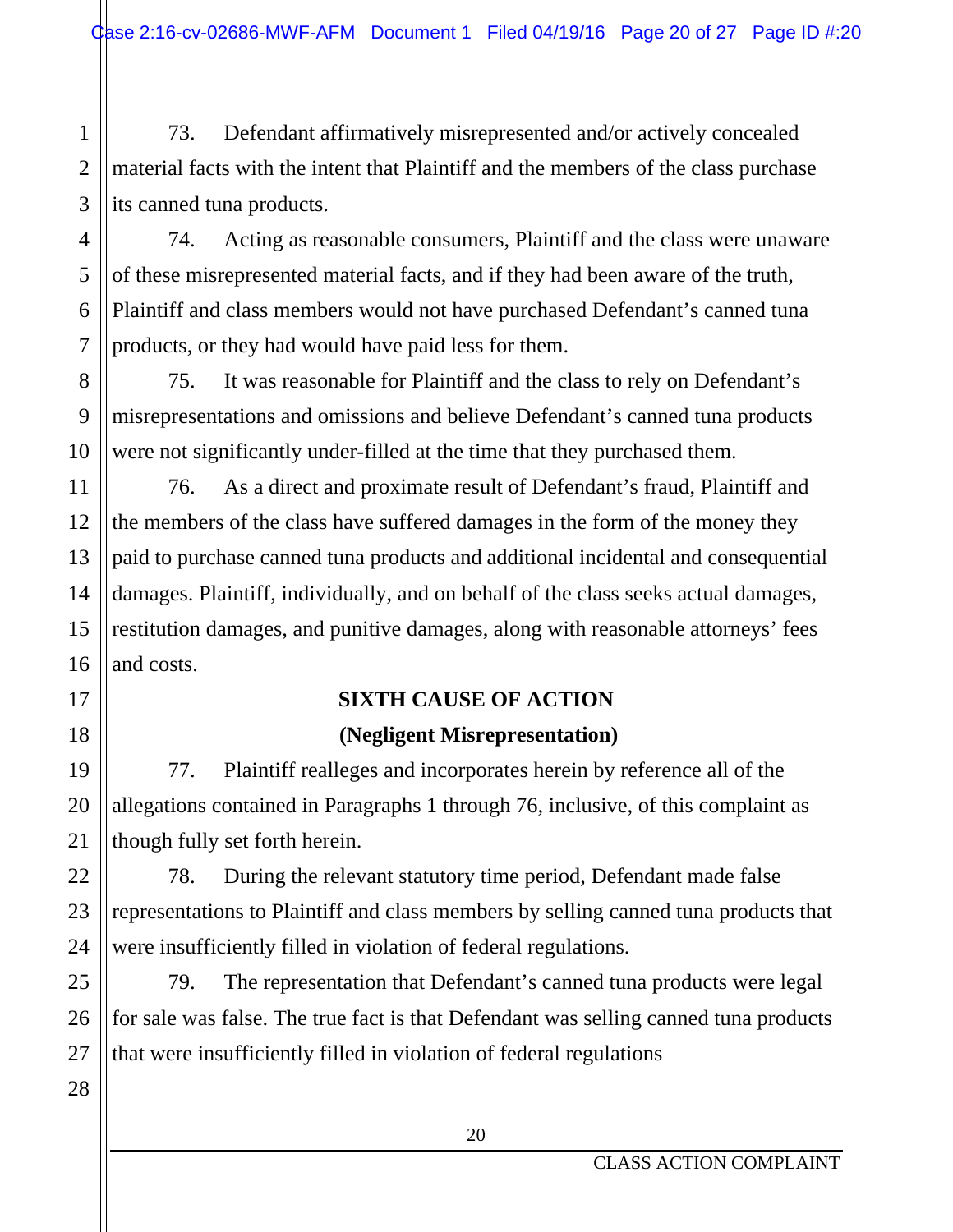73. Defendant affirmatively misrepresented and/or actively concealed material facts with the intent that Plaintiff and the members of the class purchase its canned tuna products.

74. Acting as reasonable consumers, Plaintiff and the class were unaware of these misrepresented material facts, and if they had been aware of the truth, Plaintiff and class members would not have purchased Defendant's canned tuna products, or they had would have paid less for them.

75. It was reasonable for Plaintiff and the class to rely on Defendant's misrepresentations and omissions and believe Defendant's canned tuna products were not significantly under-filled at the time that they purchased them.

76. As a direct and proximate result of Defendant's fraud, Plaintiff and the members of the class have suffered damages in the form of the money they paid to purchase canned tuna products and additional incidental and consequential damages. Plaintiff, individually, and on behalf of the class seeks actual damages, restitution damages, and punitive damages, along with reasonable attorneys' fees and costs.

## **SIXTH CAUSE OF ACTION (Negligent Misrepresentation)**

77. Plaintiff realleges and incorporates herein by reference all of the allegations contained in Paragraphs 1 through 76, inclusive, of this complaint as though fully set forth herein.

78. During the relevant statutory time period, Defendant made false representations to Plaintiff and class members by selling canned tuna products that were insufficiently filled in violation of federal regulations.

79. The representation that Defendant's canned tuna products were legal for sale was false. The true fact is that Defendant was selling canned tuna products that were insufficiently filled in violation of federal regulations

1

2

3

4

5

6

7

8

9

10

11

12

13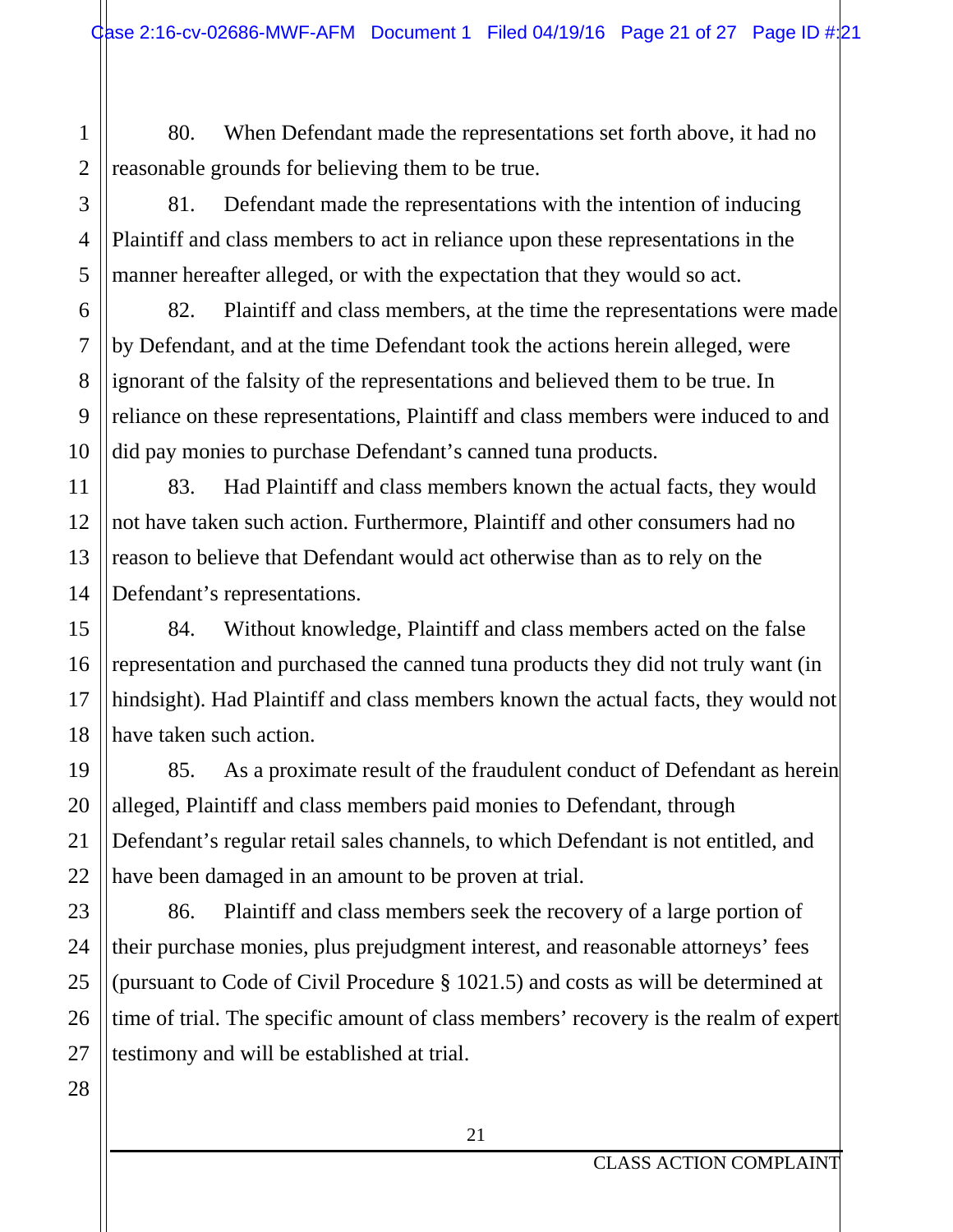80. When Defendant made the representations set forth above, it had no reasonable grounds for believing them to be true.

81. Defendant made the representations with the intention of inducing Plaintiff and class members to act in reliance upon these representations in the manner hereafter alleged, or with the expectation that they would so act.

82. Plaintiff and class members, at the time the representations were made by Defendant, and at the time Defendant took the actions herein alleged, were ignorant of the falsity of the representations and believed them to be true. In reliance on these representations, Plaintiff and class members were induced to and did pay monies to purchase Defendant's canned tuna products.

83. Had Plaintiff and class members known the actual facts, they would not have taken such action. Furthermore, Plaintiff and other consumers had no reason to believe that Defendant would act otherwise than as to rely on the Defendant's representations.

84. Without knowledge, Plaintiff and class members acted on the false representation and purchased the canned tuna products they did not truly want (in hindsight). Had Plaintiff and class members known the actual facts, they would not have taken such action.

85. As a proximate result of the fraudulent conduct of Defendant as herein alleged, Plaintiff and class members paid monies to Defendant, through Defendant's regular retail sales channels, to which Defendant is not entitled, and have been damaged in an amount to be proven at trial.

86. Plaintiff and class members seek the recovery of a large portion of their purchase monies, plus prejudgment interest, and reasonable attorneys' fees (pursuant to Code of Civil Procedure § 1021.5) and costs as will be determined at time of trial. The specific amount of class members' recovery is the realm of expert testimony and will be established at trial.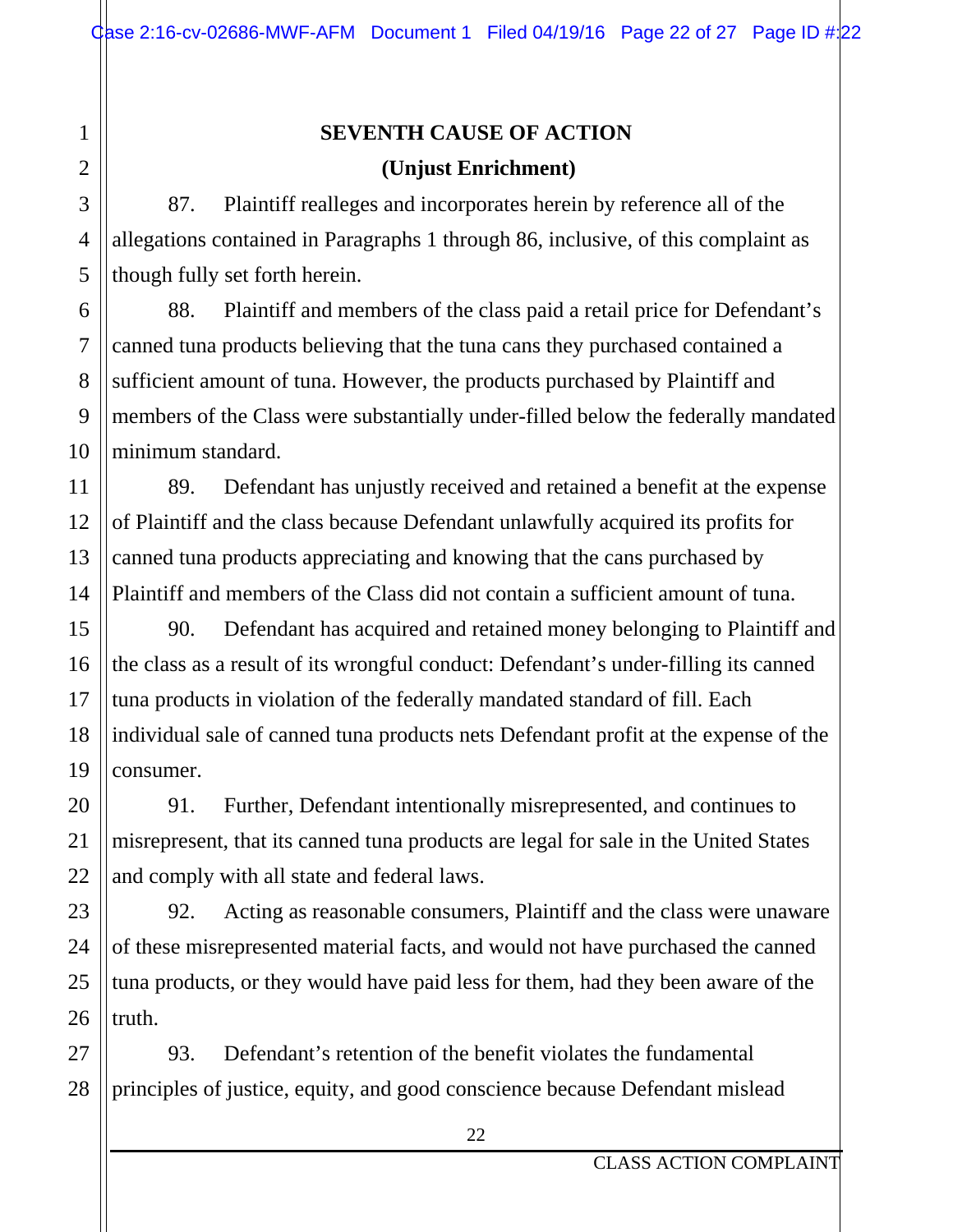## **SEVENTH CAUSE OF ACTION (Unjust Enrichment)**

87. Plaintiff realleges and incorporates herein by reference all of the allegations contained in Paragraphs 1 through 86, inclusive, of this complaint as though fully set forth herein.

88. Plaintiff and members of the class paid a retail price for Defendant's canned tuna products believing that the tuna cans they purchased contained a sufficient amount of tuna. However, the products purchased by Plaintiff and members of the Class were substantially under-filled below the federally mandated minimum standard.

89. Defendant has unjustly received and retained a benefit at the expense of Plaintiff and the class because Defendant unlawfully acquired its profits for canned tuna products appreciating and knowing that the cans purchased by Plaintiff and members of the Class did not contain a sufficient amount of tuna.

90. Defendant has acquired and retained money belonging to Plaintiff and the class as a result of its wrongful conduct: Defendant's under-filling its canned tuna products in violation of the federally mandated standard of fill. Each individual sale of canned tuna products nets Defendant profit at the expense of the consumer.

91. Further, Defendant intentionally misrepresented, and continues to misrepresent, that its canned tuna products are legal for sale in the United States and comply with all state and federal laws.

92. Acting as reasonable consumers, Plaintiff and the class were unaware of these misrepresented material facts, and would not have purchased the canned tuna products, or they would have paid less for them, had they been aware of the truth.

93. Defendant's retention of the benefit violates the fundamental principles of justice, equity, and good conscience because Defendant mislead

1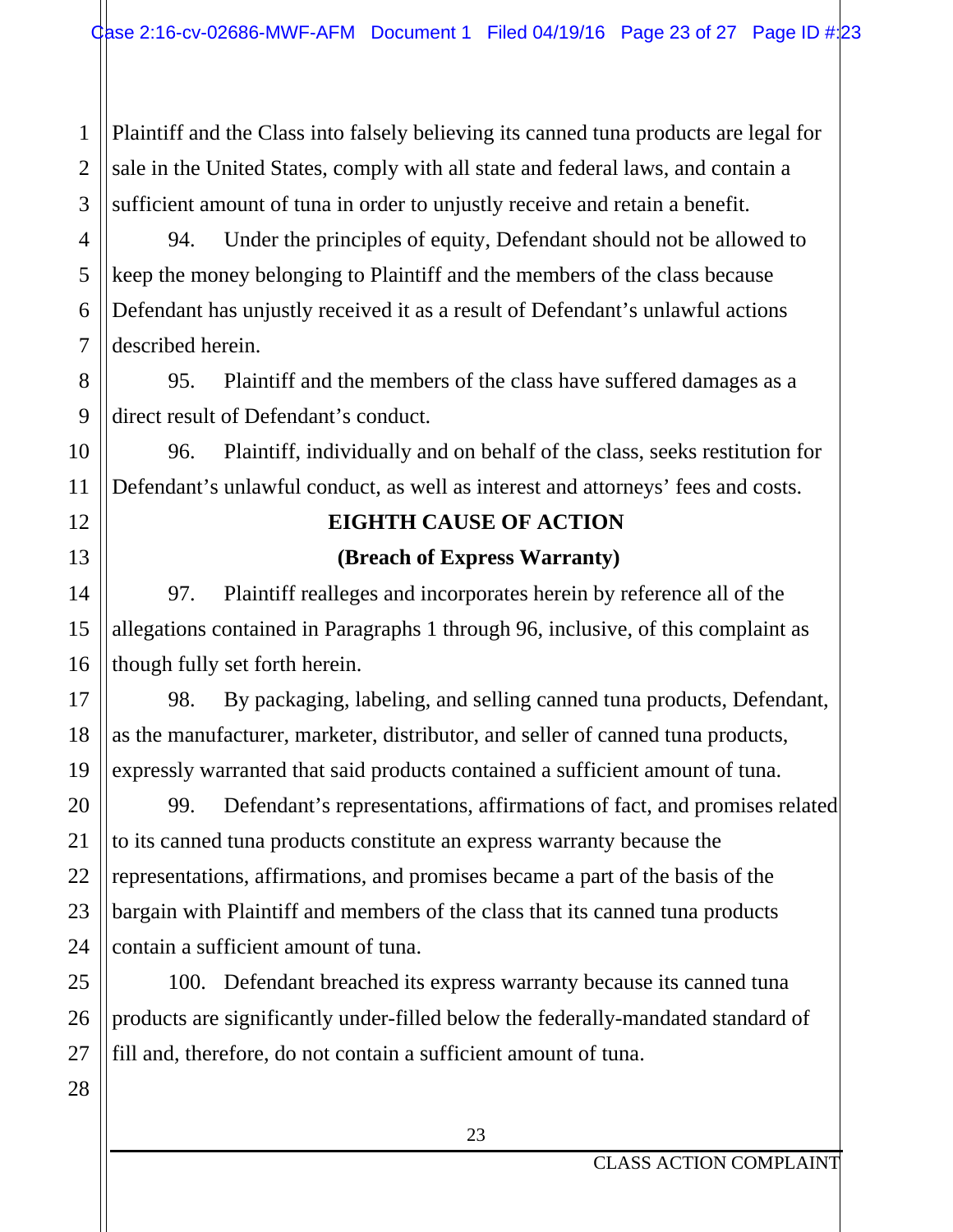1 2 3 Plaintiff and the Class into falsely believing its canned tuna products are legal for sale in the United States, comply with all state and federal laws, and contain a sufficient amount of tuna in order to unjustly receive and retain a benefit.

94. Under the principles of equity, Defendant should not be allowed to keep the money belonging to Plaintiff and the members of the class because Defendant has unjustly received it as a result of Defendant's unlawful actions described herein.

95. Plaintiff and the members of the class have suffered damages as a direct result of Defendant's conduct.

96. Plaintiff, individually and on behalf of the class, seeks restitution for Defendant's unlawful conduct, as well as interest and attorneys' fees and costs.

## **EIGHTH CAUSE OF ACTION (Breach of Express Warranty)**

97. Plaintiff realleges and incorporates herein by reference all of the allegations contained in Paragraphs 1 through 96, inclusive, of this complaint as though fully set forth herein.

98. By packaging, labeling, and selling canned tuna products, Defendant, as the manufacturer, marketer, distributor, and seller of canned tuna products, expressly warranted that said products contained a sufficient amount of tuna.

99. Defendant's representations, affirmations of fact, and promises related to its canned tuna products constitute an express warranty because the representations, affirmations, and promises became a part of the basis of the bargain with Plaintiff and members of the class that its canned tuna products contain a sufficient amount of tuna.

100. Defendant breached its express warranty because its canned tuna products are significantly under-filled below the federally-mandated standard of fill and, therefore, do not contain a sufficient amount of tuna.

28

4

5

6

7

8

9

10

11

12

13

14

15

16

17

18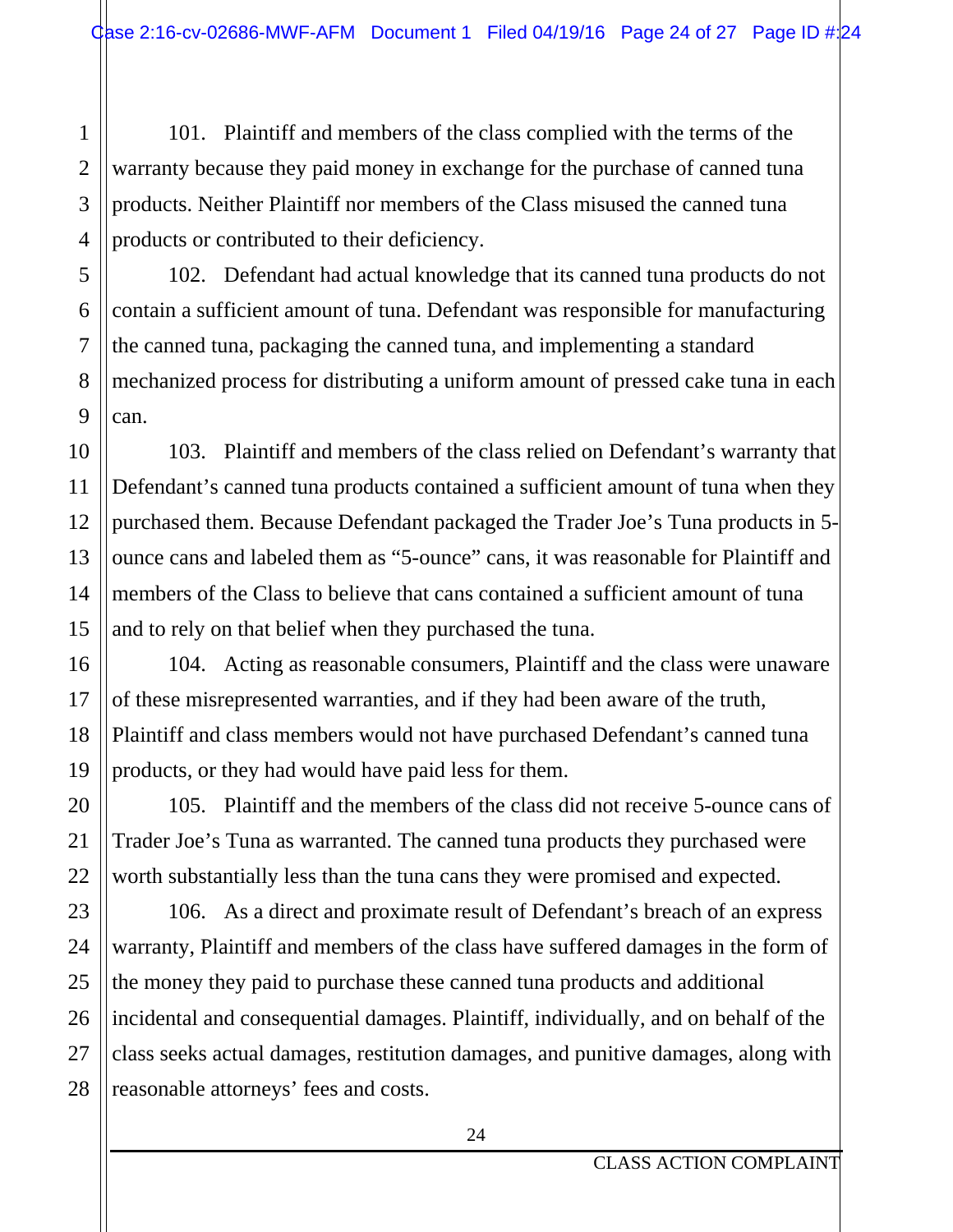101. Plaintiff and members of the class complied with the terms of the warranty because they paid money in exchange for the purchase of canned tuna products. Neither Plaintiff nor members of the Class misused the canned tuna products or contributed to their deficiency.

102. Defendant had actual knowledge that its canned tuna products do not contain a sufficient amount of tuna. Defendant was responsible for manufacturing the canned tuna, packaging the canned tuna, and implementing a standard mechanized process for distributing a uniform amount of pressed cake tuna in each can.

103. Plaintiff and members of the class relied on Defendant's warranty that Defendant's canned tuna products contained a sufficient amount of tuna when they purchased them. Because Defendant packaged the Trader Joe's Tuna products in 5 ounce cans and labeled them as "5-ounce" cans, it was reasonable for Plaintiff and members of the Class to believe that cans contained a sufficient amount of tuna and to rely on that belief when they purchased the tuna.

104. Acting as reasonable consumers, Plaintiff and the class were unaware of these misrepresented warranties, and if they had been aware of the truth, Plaintiff and class members would not have purchased Defendant's canned tuna products, or they had would have paid less for them.

105. Plaintiff and the members of the class did not receive 5-ounce cans of Trader Joe's Tuna as warranted. The canned tuna products they purchased were worth substantially less than the tuna cans they were promised and expected.

106. As a direct and proximate result of Defendant's breach of an express warranty, Plaintiff and members of the class have suffered damages in the form of the money they paid to purchase these canned tuna products and additional incidental and consequential damages. Plaintiff, individually, and on behalf of the class seeks actual damages, restitution damages, and punitive damages, along with reasonable attorneys' fees and costs.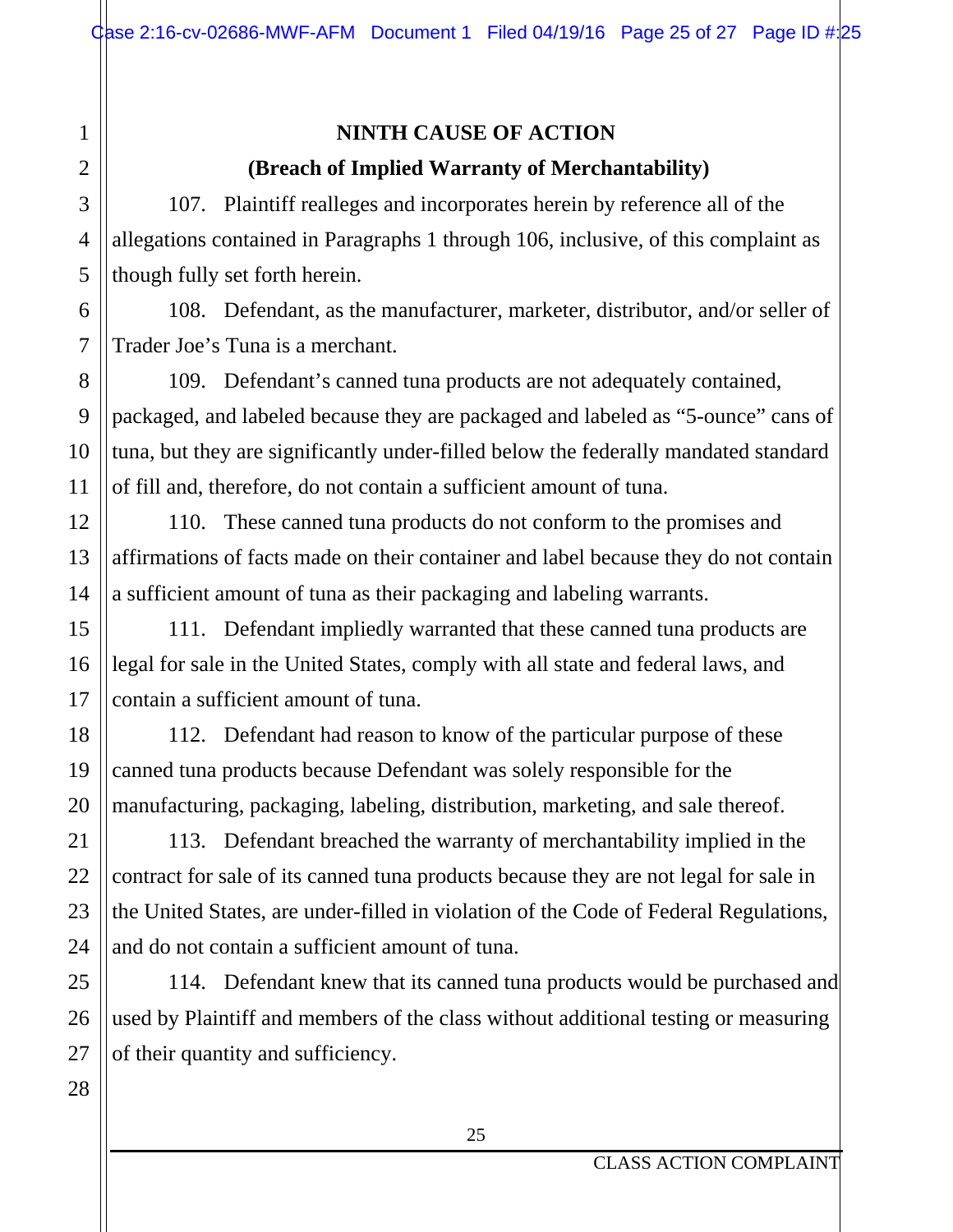## **NINTH CAUSE OF ACTION (Breach of Implied Warranty of Merchantability)**

107. Plaintiff realleges and incorporates herein by reference all of the allegations contained in Paragraphs 1 through 106, inclusive, of this complaint as though fully set forth herein.

108. Defendant, as the manufacturer, marketer, distributor, and/or seller of Trader Joe's Tuna is a merchant.

109. Defendant's canned tuna products are not adequately contained, packaged, and labeled because they are packaged and labeled as "5-ounce" cans of tuna, but they are significantly under-filled below the federally mandated standard of fill and, therefore, do not contain a sufficient amount of tuna.

110. These canned tuna products do not conform to the promises and affirmations of facts made on their container and label because they do not contain a sufficient amount of tuna as their packaging and labeling warrants.

111. Defendant impliedly warranted that these canned tuna products are legal for sale in the United States, comply with all state and federal laws, and contain a sufficient amount of tuna.

112. Defendant had reason to know of the particular purpose of these canned tuna products because Defendant was solely responsible for the manufacturing, packaging, labeling, distribution, marketing, and sale thereof.

113. Defendant breached the warranty of merchantability implied in the contract for sale of its canned tuna products because they are not legal for sale in the United States, are under-filled in violation of the Code of Federal Regulations, and do not contain a sufficient amount of tuna.

114. Defendant knew that its canned tuna products would be purchased and used by Plaintiff and members of the class without additional testing or measuring of their quantity and sufficiency.

27 28

1

2

3

4

5

6

7

8

9

10

11

12

13

14

15

16

17

18

19

20

21

22

23

24

25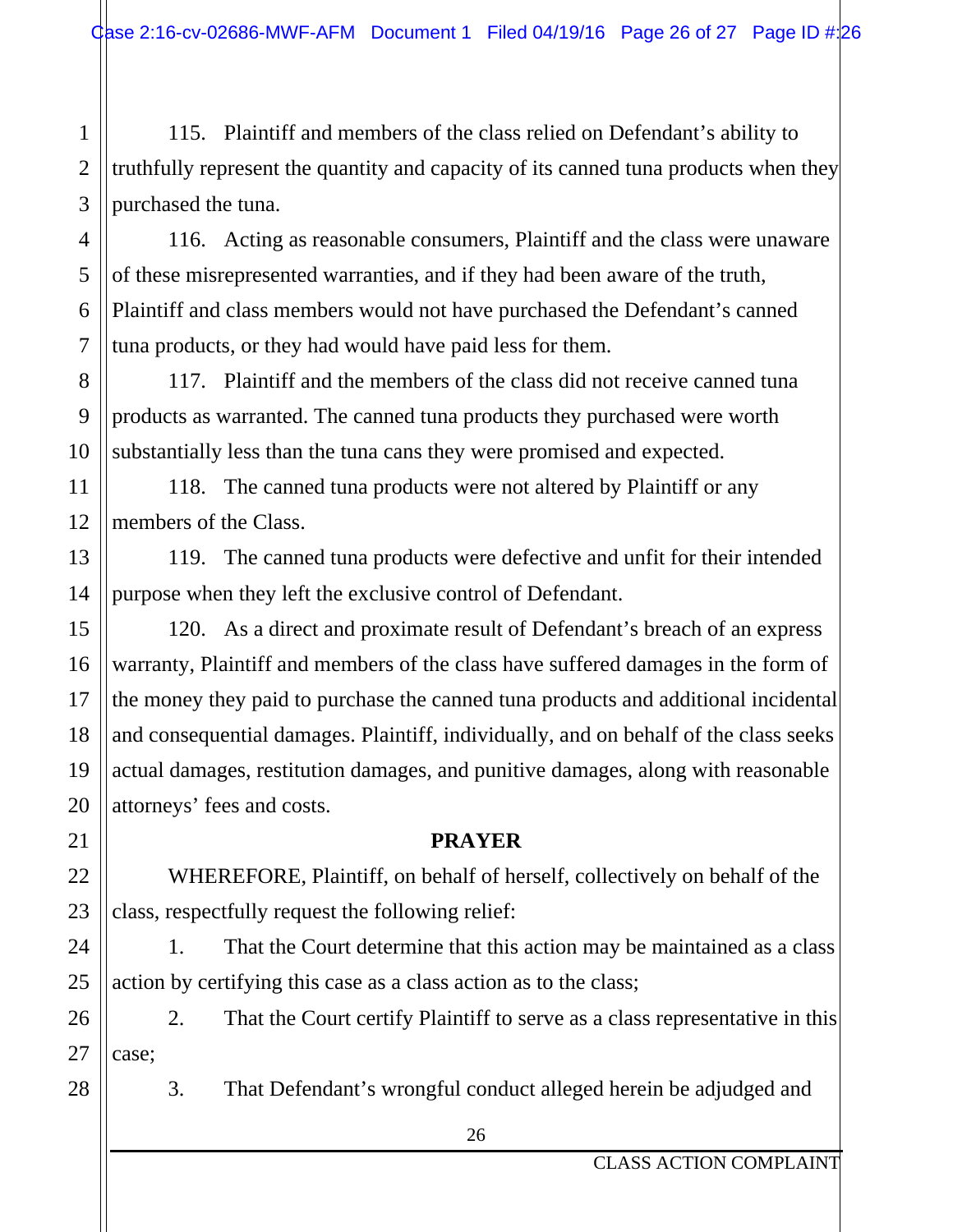2 3 115. Plaintiff and members of the class relied on Defendant's ability to truthfully represent the quantity and capacity of its canned tuna products when they purchased the tuna.

4 6 116. Acting as reasonable consumers, Plaintiff and the class were unaware of these misrepresented warranties, and if they had been aware of the truth, Plaintiff and class members would not have purchased the Defendant's canned tuna products, or they had would have paid less for them.

117. Plaintiff and the members of the class did not receive canned tuna products as warranted. The canned tuna products they purchased were worth substantially less than the tuna cans they were promised and expected.

118. The canned tuna products were not altered by Plaintiff or any members of the Class.

119. The canned tuna products were defective and unfit for their intended purpose when they left the exclusive control of Defendant.

120. As a direct and proximate result of Defendant's breach of an express warranty, Plaintiff and members of the class have suffered damages in the form of the money they paid to purchase the canned tuna products and additional incidental and consequential damages. Plaintiff, individually, and on behalf of the class seeks actual damages, restitution damages, and punitive damages, along with reasonable attorneys' fees and costs.

#### **PRAYER**

WHEREFORE, Plaintiff, on behalf of herself, collectively on behalf of the class, respectfully request the following relief:

1. That the Court determine that this action may be maintained as a class action by certifying this case as a class action as to the class;

26 27 2. That the Court certify Plaintiff to serve as a class representative in this case;

28

1

5

7

8

9

10

11

12

13

14

15

16

17

18

19

20

21

22

23

24

25

3. That Defendant's wrongful conduct alleged herein be adjudged and